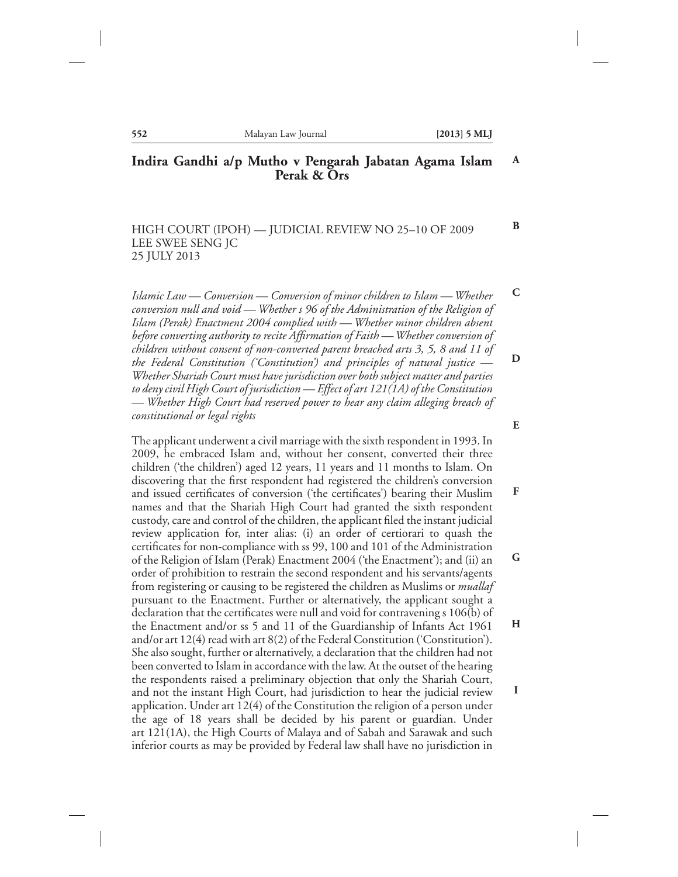**B**

#### **Indira Gandhi a/p Mutho v Pengarah Jabatan Agama Islam Perak & Ors A**

HIGH COURT (IPOH) — JUDICIAL REVIEW NO 25–10 OF 2009 LEE SWEE SENG JC 25 JULY 2013

*Islamic Law — Conversion — Conversion of minor children to Islam — Whether conversion null and void — Whether s 96 of the Administration of the Religion of Islam (Perak) Enactment 2004 complied with — Whether minor children absent before converting authority to recite Affirmation of Faith — Whether conversion of children without consent of non-converted parent breached arts 3, 5, 8 and 11 of the Federal Constitution ('Constitution') and principles of natural justice — Whether Shariah Court must have jurisdiction over both subject matter and parties to deny civil High Court of jurisdiction — Effect of art 121(1A) of the Constitution — Whether High Court had reserved power to hear any claim alleging breach of constitutional or legal rights* **C D E**

The applicant underwent a civil marriage with the sixth respondent in 1993. In 2009, he embraced Islam and, without her consent, converted their three children ('the children') aged 12 years, 11 years and 11 months to Islam. On discovering that the first respondent had registered the children's conversion and issued certificates of conversion ('the certificates') bearing their Muslim names and that the Shariah High Court had granted the sixth respondent custody, care and control of the children, the applicant filed the instant judicial review application for, inter alias: (i) an order of certiorari to quash the certificates for non-compliance with ss 99, 100 and 101 of the Administration of the Religion of Islam (Perak) Enactment 2004 ('the Enactment'); and (ii) an order of prohibition to restrain the second respondent and his servants/agents from registering or causing to be registered the children as Muslims or *muallaf* pursuant to the Enactment. Further or alternatively, the applicant sought a declaration that the certificates were null and void for contravening s 106(b) of the Enactment and/or ss 5 and 11 of the Guardianship of Infants Act 1961 and/or art 12(4) read with art 8(2) of the Federal Constitution ('Constitution'). She also sought, further or alternatively, a declaration that the children had not been converted to Islam in accordance with the law. At the outset of the hearing the respondents raised a preliminary objection that only the Shariah Court, and not the instant High Court, had jurisdiction to hear the judicial review application. Under art 12(4) of the Constitution the religion of a person under the age of 18 years shall be decided by his parent or guardian. Under art 121(1A), the High Courts of Malaya and of Sabah and Sarawak and such inferior courts as may be provided by Federal law shall have no jurisdiction in **F G H I**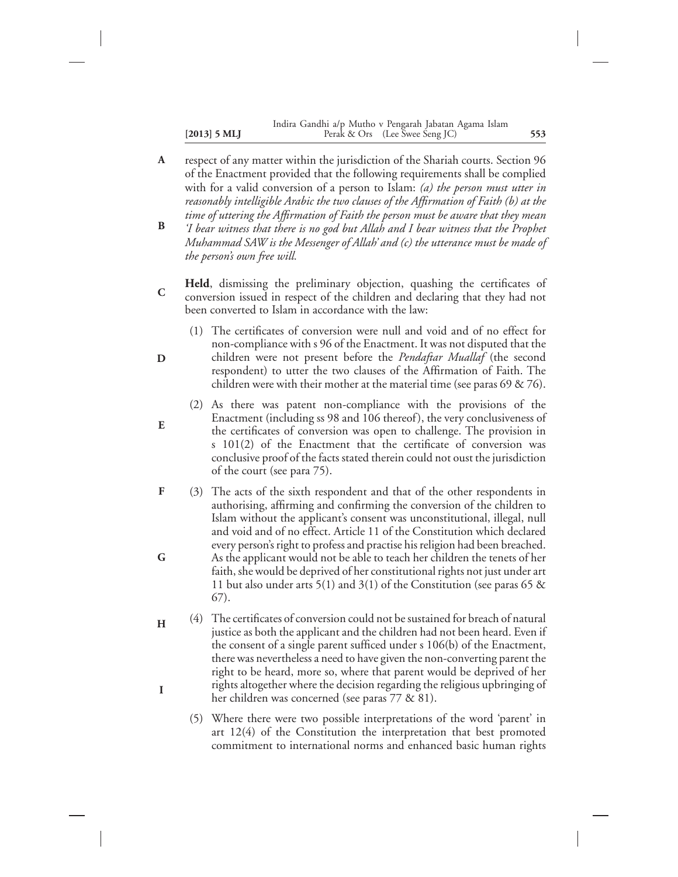#### **[2013] 5 MLJ 553** Perak & Ors (Lee Swee Seng JC) Indira Gandhi a/p Mutho v Pengarah Jabatan Agama Islam

- respect of any matter within the jurisdiction of the Shariah courts. Section 96 of the Enactment provided that the following requirements shall be complied with for a valid conversion of a person to Islam: *(a) the person must utter in reasonably intelligible Arabic the two clauses of the Affirmation of Faith (b) at the time of uttering the Affirmation of Faith the person must be aware that they mean* **A**
- *'I bear witness that there is no god but Allah and I bear witness that the Prophet Muhammad SAW is the Messenger of Allah' and (c) the utterance must be made of the person's own free will.* **B**
- **Held**, dismissing the preliminary objection, quashing the certificates of conversion issued in respect of the children and declaring that they had not been converted to Islam in accordance with the law: **C**
	- (1) The certificates of conversion were null and void and of no effect for non-compliance with s 96 of the Enactment. It was not disputed that the children were not present before the *Pendaftar Muallaf* (the second respondent) to utter the two clauses of the Affirmation of Faith. The children were with their mother at the material time (see paras 69 & 76).

**D**

**E**

- (2) As there was patent non-compliance with the provisions of the Enactment (including ss 98 and 106 thereof), the very conclusiveness of the certificates of conversion was open to challenge. The provision in s 101(2) of the Enactment that the certificate of conversion was conclusive proof of the facts stated therein could not oust the jurisdiction of the court (see para 75).
- (3) The acts of the sixth respondent and that of the other respondents in authorising, affirming and confirming the conversion of the children to Islam without the applicant's consent was unconstitutional, illegal, null and void and of no effect. Article 11 of the Constitution which declared every person's right to profess and practise his religion had been breached. As the applicant would not be able to teach her children the tenets of her faith, she would be deprived of her constitutional rights not just under art 11 but also under arts 5(1) and 3(1) of the Constitution (see paras 65  $\&$ 67). **F G**
- (4) The certificates of conversion could not be sustained for breach of natural justice as both the applicant and the children had not been heard. Even if the consent of a single parent sufficed under s 106(b) of the Enactment, there was nevertheless a need to have given the non-converting parent the right to be heard, more so, where that parent would be deprived of her rights altogether where the decision regarding the religious upbringing of her children was concerned (see paras 77 & 81). **H I**
	- (5) Where there were two possible interpretations of the word 'parent' in art 12(4) of the Constitution the interpretation that best promoted commitment to international norms and enhanced basic human rights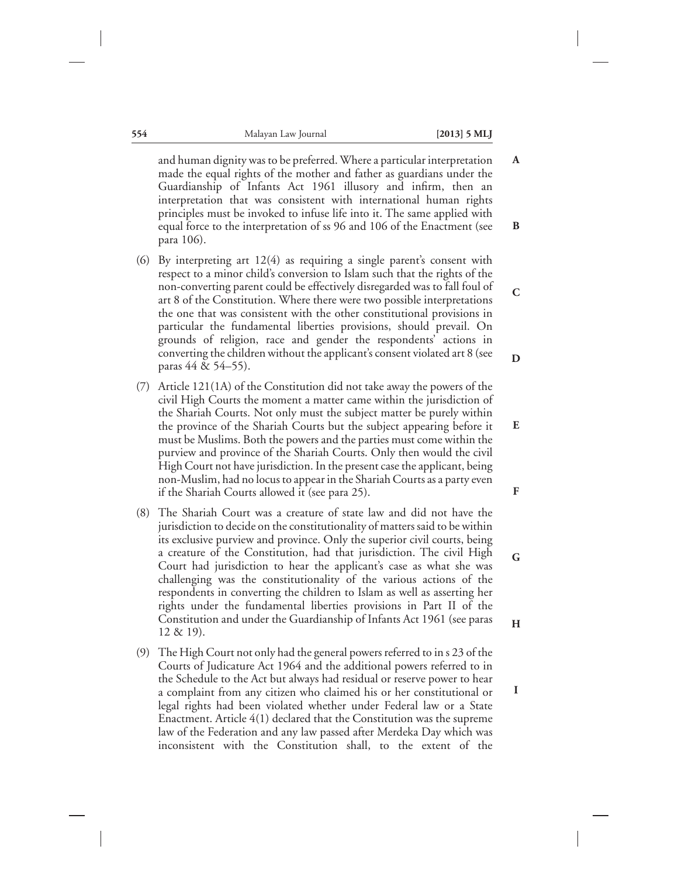**E**

**F**

**G**

**H**

**I**

and human dignity was to be preferred. Where a particular interpretation made the equal rights of the mother and father as guardians under the Guardianship of Infants Act 1961 illusory and infirm, then an interpretation that was consistent with international human rights principles must be invoked to infuse life into it. The same applied with equal force to the interpretation of ss 96 and 106 of the Enactment (see para 106). **A B**

- (6) By interpreting art 12(4) as requiring a single parent's consent with respect to a minor child's conversion to Islam such that the rights of the non-converting parent could be effectively disregarded was to fall foul of art 8 of the Constitution. Where there were two possible interpretations the one that was consistent with the other constitutional provisions in particular the fundamental liberties provisions, should prevail. On grounds of religion, race and gender the respondents' actions in converting the children without the applicant's consent violated art 8 (see paras 44 & 54–55). **C D**
- (7) Article 121(1A) of the Constitution did not take away the powers of the civil High Courts the moment a matter came within the jurisdiction of the Shariah Courts. Not only must the subject matter be purely within the province of the Shariah Courts but the subject appearing before it must be Muslims. Both the powers and the parties must come within the purview and province of the Shariah Courts. Only then would the civil High Court not have jurisdiction. In the present case the applicant, being non-Muslim, had no locus to appear in the Shariah Courts as a party even if the Shariah Courts allowed it (see para 25).
- (8) The Shariah Court was a creature of state law and did not have the jurisdiction to decide on the constitutionality of matters said to be within its exclusive purview and province. Only the superior civil courts, being a creature of the Constitution, had that jurisdiction. The civil High Court had jurisdiction to hear the applicant's case as what she was challenging was the constitutionality of the various actions of the respondents in converting the children to Islam as well as asserting her rights under the fundamental liberties provisions in Part II of the Constitution and under the Guardianship of Infants Act 1961 (see paras 12 & 19).
- (9) The High Court not only had the general powers referred to in s 23 of the Courts of Judicature Act 1964 and the additional powers referred to in the Schedule to the Act but always had residual or reserve power to hear a complaint from any citizen who claimed his or her constitutional or legal rights had been violated whether under Federal law or a State Enactment. Article 4(1) declared that the Constitution was the supreme law of the Federation and any law passed after Merdeka Day which was inconsistent with the Constitution shall, to the extent of the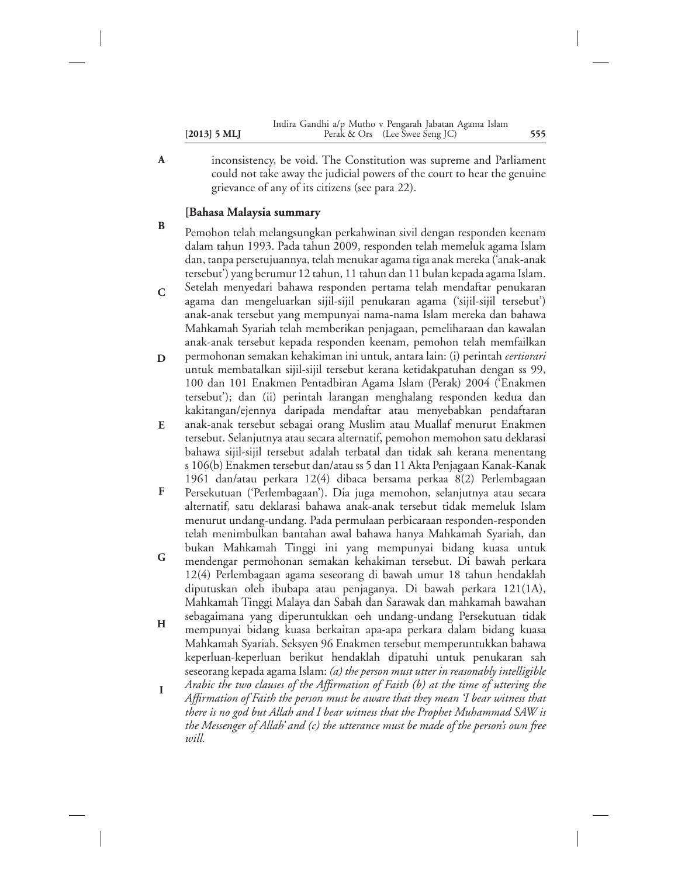- **[2013] 5 MLJ 555** Perak & Ors (Lee Swee Seng JC) Indira Gandhi a/p Mutho v Pengarah Jabatan Agama Islam
- inconsistency, be void. The Constitution was supreme and Parliament could not take away the judicial powers of the court to hear the genuine grievance of any of its citizens (see para 22).

## **[Bahasa Malaysia summary**

**A**

- Pemohon telah melangsungkan perkahwinan sivil dengan responden keenam dalam tahun 1993. Pada tahun 2009, responden telah memeluk agama Islam dan, tanpa persetujuannya, telah menukar agama tiga anak mereka ('anak-anak tersebut') yang berumur 12 tahun, 11 tahun dan 11 bulan kepada agama Islam. **B**
- Setelah menyedari bahawa responden pertama telah mendaftar penukaran agama dan mengeluarkan sijil-sijil penukaran agama ('sijil-sijil tersebut') anak-anak tersebut yang mempunyai nama-nama Islam mereka dan bahawa Mahkamah Syariah telah memberikan penjagaan, pemeliharaan dan kawalan anak-anak tersebut kepada responden keenam, pemohon telah memfailkan **C**
- permohonan semakan kehakiman ini untuk, antara lain: (i) perintah *certiorari* untuk membatalkan sijil-sijil tersebut kerana ketidakpatuhan dengan ss 99, 100 dan 101 Enakmen Pentadbiran Agama Islam (Perak) 2004 ('Enakmen tersebut'); dan (ii) perintah larangan menghalang responden kedua dan kakitangan/ejennya daripada mendaftar atau menyebabkan pendaftaran **D**
- anak-anak tersebut sebagai orang Muslim atau Muallaf menurut Enakmen tersebut. Selanjutnya atau secara alternatif, pemohon memohon satu deklarasi bahawa sijil-sijil tersebut adalah terbatal dan tidak sah kerana menentang s 106(b) Enakmen tersebut dan/atau ss 5 dan 11 Akta Penjagaan Kanak-Kanak 1961 dan/atau perkara 12(4) dibaca bersama perkaa 8(2) Perlembagaan **E**
- Persekutuan ('Perlembagaan'). Dia juga memohon, selanjutnya atau secara alternatif, satu deklarasi bahawa anak-anak tersebut tidak memeluk Islam menurut undang-undang. Pada permulaan perbicaraan responden-responden telah menimbulkan bantahan awal bahawa hanya Mahkamah Syariah, dan bukan Mahkamah Tinggi ini yang mempunyai bidang kuasa untuk **F**
- mendengar permohonan semakan kehakiman tersebut. Di bawah perkara 12(4) Perlembagaan agama seseorang di bawah umur 18 tahun hendaklah diputuskan oleh ibubapa atau penjaganya. Di bawah perkara 121(1A), Mahkamah Tinggi Malaya dan Sabah dan Sarawak dan mahkamah bawahan sebagaimana yang diperuntukkan oeh undang-undang Persekutuan tidak **G**
- mempunyai bidang kuasa berkaitan apa-apa perkara dalam bidang kuasa Mahkamah Syariah. Seksyen 96 Enakmen tersebut memperuntukkan bahawa keperluan-keperluan berikut hendaklah dipatuhi untuk penukaran sah seseorang kepada agama Islam: *(a) the person must utter in reasonably intelligible* **H**
- *Arabic the two clauses of the Affirmation of Faith (b) at the time of uttering the Affirmation of Faith the person must be aware that they mean 'I bear witness that there is no god but Allah and I bear witness that the Prophet Muhammad SAW is the Messenger of Allah' and (c) the utterance must be made of the person's own free will.* **I**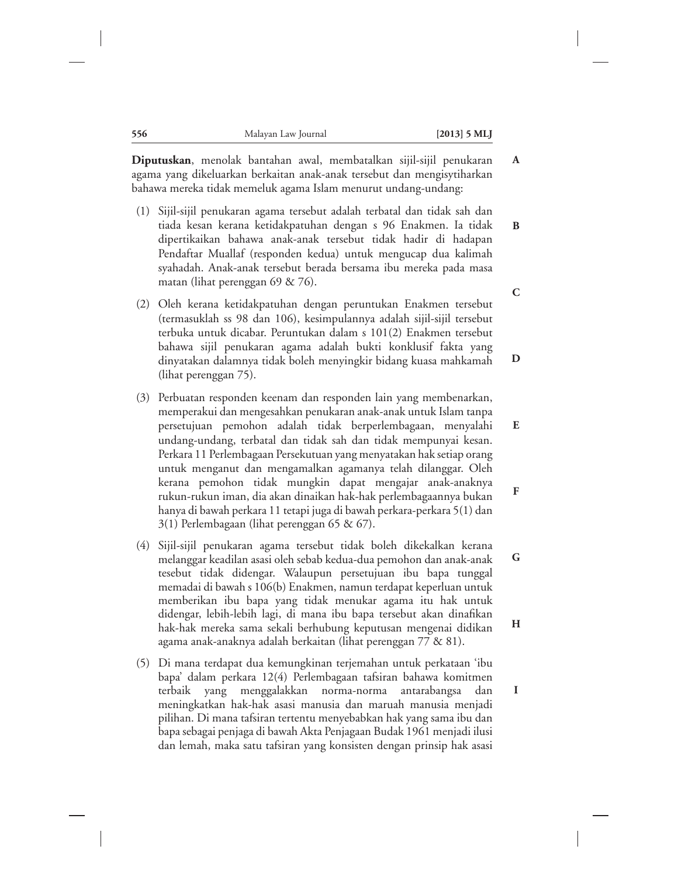**A**

**I**

**Diputuskan**, menolak bantahan awal, membatalkan sijil-sijil penukaran agama yang dikeluarkan berkaitan anak-anak tersebut dan mengisytiharkan bahawa mereka tidak memeluk agama Islam menurut undang-undang:

- (1) Sijil-sijil penukaran agama tersebut adalah terbatal dan tidak sah dan tiada kesan kerana ketidakpatuhan dengan s 96 Enakmen. Ia tidak dipertikaikan bahawa anak-anak tersebut tidak hadir di hadapan Pendaftar Muallaf (responden kedua) untuk mengucap dua kalimah syahadah. Anak-anak tersebut berada bersama ibu mereka pada masa matan (lihat perenggan 69 & 76). **B C**
- (2) Oleh kerana ketidakpatuhan dengan peruntukan Enakmen tersebut (termasuklah ss 98 dan 106), kesimpulannya adalah sijil-sijil tersebut terbuka untuk dicabar. Peruntukan dalam s 101(2) Enakmen tersebut bahawa sijil penukaran agama adalah bukti konklusif fakta yang dinyatakan dalamnya tidak boleh menyingkir bidang kuasa mahkamah (lihat perenggan 75). **D**
- (3) Perbuatan responden keenam dan responden lain yang membenarkan, memperakui dan mengesahkan penukaran anak-anak untuk Islam tanpa persetujuan pemohon adalah tidak berperlembagaan, menyalahi undang-undang, terbatal dan tidak sah dan tidak mempunyai kesan. Perkara 11 Perlembagaan Persekutuan yang menyatakan hak setiap orang untuk menganut dan mengamalkan agamanya telah dilanggar. Oleh kerana pemohon tidak mungkin dapat mengajar anak-anaknya rukun-rukun iman, dia akan dinaikan hak-hak perlembagaannya bukan hanya di bawah perkara 11 tetapi juga di bawah perkara-perkara 5(1) dan 3(1) Perlembagaan (lihat perenggan 65 & 67). **E F**
- (4) Sijil-sijil penukaran agama tersebut tidak boleh dikekalkan kerana melanggar keadilan asasi oleh sebab kedua-dua pemohon dan anak-anak tesebut tidak didengar. Walaupun persetujuan ibu bapa tunggal memadai di bawah s 106(b) Enakmen, namun terdapat keperluan untuk memberikan ibu bapa yang tidak menukar agama itu hak untuk didengar, lebih-lebih lagi, di mana ibu bapa tersebut akan dinafikan hak-hak mereka sama sekali berhubung keputusan mengenai didikan agama anak-anaknya adalah berkaitan (lihat perenggan 77 & 81). **G H**
- (5) Di mana terdapat dua kemungkinan terjemahan untuk perkataan 'ibu bapa' dalam perkara 12(4) Perlembagaan tafsiran bahawa komitmen terbaik yang menggalakkan norma-norma antarabangsa dan meningkatkan hak-hak asasi manusia dan maruah manusia menjadi pilihan. Di mana tafsiran tertentu menyebabkan hak yang sama ibu dan bapa sebagai penjaga di bawah Akta Penjagaan Budak 1961 menjadi ilusi dan lemah, maka satu tafsiran yang konsisten dengan prinsip hak asasi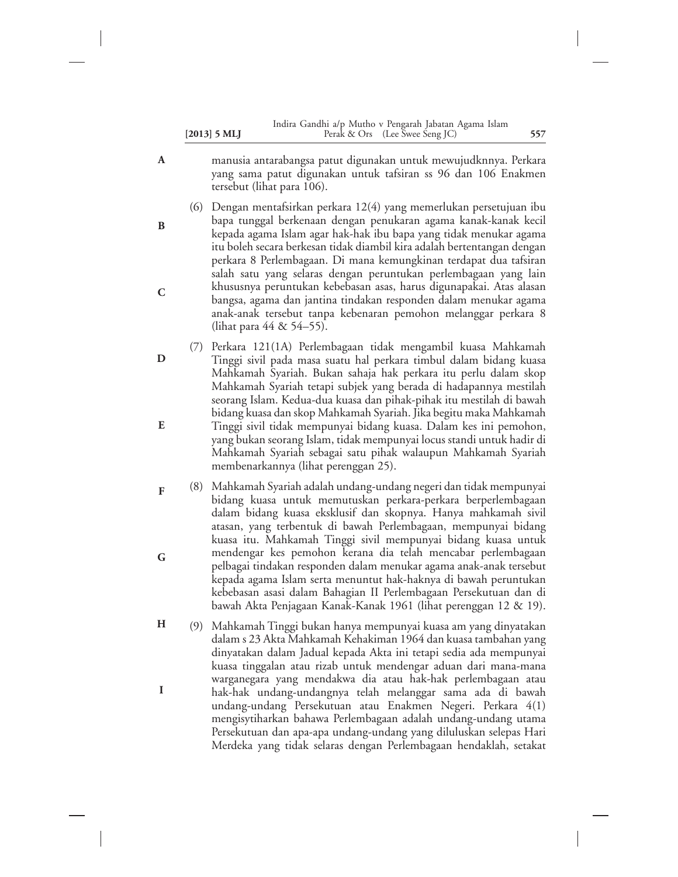|                | Indira Gandhi a/p Mutho v Pengarah Jabatan Agama Islam |     |
|----------------|--------------------------------------------------------|-----|
| $[2013]$ 5 MLJ | Perak & Ors (Lee Swee Seng JC)                         | 557 |

manusia antarabangsa patut digunakan untuk mewujudknnya. Perkara yang sama patut digunakan untuk tafsiran ss 96 dan 106 Enakmen tersebut (lihat para 106).

**A**

**B**

**C**

- (6) Dengan mentafsirkan perkara 12(4) yang memerlukan persetujuan ibu bapa tunggal berkenaan dengan penukaran agama kanak-kanak kecil kepada agama Islam agar hak-hak ibu bapa yang tidak menukar agama itu boleh secara berkesan tidak diambil kira adalah bertentangan dengan perkara 8 Perlembagaan. Di mana kemungkinan terdapat dua tafsiran salah satu yang selaras dengan peruntukan perlembagaan yang lain khususnya peruntukan kebebasan asas, harus digunapakai. Atas alasan bangsa, agama dan jantina tindakan responden dalam menukar agama anak-anak tersebut tanpa kebenaran pemohon melanggar perkara 8 (lihat para 44 & 54–55).
- (7) Perkara 121(1A) Perlembagaan tidak mengambil kuasa Mahkamah Tinggi sivil pada masa suatu hal perkara timbul dalam bidang kuasa Mahkamah Syariah. Bukan sahaja hak perkara itu perlu dalam skop Mahkamah Syariah tetapi subjek yang berada di hadapannya mestilah seorang Islam. Kedua-dua kuasa dan pihak-pihak itu mestilah di bawah bidang kuasa dan skop Mahkamah Syariah. Jika begitu maka Mahkamah Tinggi sivil tidak mempunyai bidang kuasa. Dalam kes ini pemohon, yang bukan seorang Islam, tidak mempunyai locus standi untuk hadir di Mahkamah Syariah sebagai satu pihak walaupun Mahkamah Syariah membenarkannya (lihat perenggan 25). **D E**
- (8) Mahkamah Syariah adalah undang-undang negeri dan tidak mempunyai bidang kuasa untuk memutuskan perkara-perkara berperlembagaan dalam bidang kuasa eksklusif dan skopnya. Hanya mahkamah sivil atasan, yang terbentuk di bawah Perlembagaan, mempunyai bidang kuasa itu. Mahkamah Tinggi sivil mempunyai bidang kuasa untuk mendengar kes pemohon kerana dia telah mencabar perlembagaan pelbagai tindakan responden dalam menukar agama anak-anak tersebut kepada agama Islam serta menuntut hak-haknya di bawah peruntukan kebebasan asasi dalam Bahagian II Perlembagaan Persekutuan dan di bawah Akta Penjagaan Kanak-Kanak 1961 (lihat perenggan 12 & 19). **F G**
- (9) Mahkamah Tinggi bukan hanya mempunyai kuasa am yang dinyatakan dalam s 23 Akta Mahkamah Kehakiman 1964 dan kuasa tambahan yang dinyatakan dalam Jadual kepada Akta ini tetapi sedia ada mempunyai kuasa tinggalan atau rizab untuk mendengar aduan dari mana-mana warganegara yang mendakwa dia atau hak-hak perlembagaan atau hak-hak undang-undangnya telah melanggar sama ada di bawah undang-undang Persekutuan atau Enakmen Negeri. Perkara 4(1) mengisytiharkan bahawa Perlembagaan adalah undang-undang utama Persekutuan dan apa-apa undang-undang yang diluluskan selepas Hari Merdeka yang tidak selaras dengan Perlembagaan hendaklah, setakat **H I**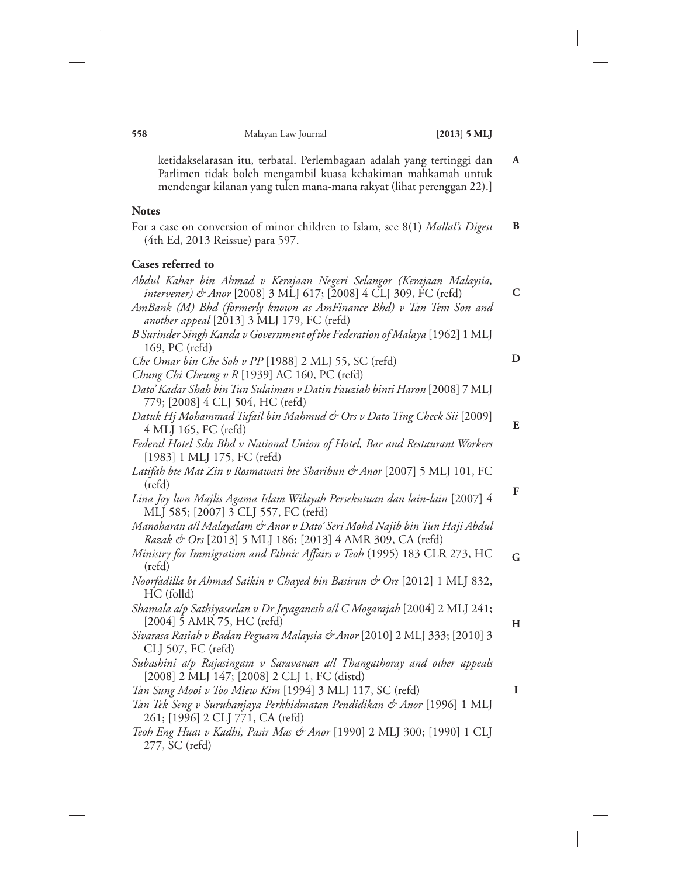| ketidakselarasan itu, terbatal. Perlembagaan adalah yang tertinggi dan<br>Parlimen tidak boleh mengambil kuasa kehakiman mahkamah untuk<br>mendengar kilanan yang tulen mana-mana rakyat (lihat perenggan 22).]                                              | A |
|--------------------------------------------------------------------------------------------------------------------------------------------------------------------------------------------------------------------------------------------------------------|---|
| <b>Notes</b>                                                                                                                                                                                                                                                 |   |
| For a case on conversion of minor children to Islam, see 8(1) Mallal's Digest<br>(4th Ed, 2013 Reissue) para 597.                                                                                                                                            | B |
| Cases referred to                                                                                                                                                                                                                                            |   |
| Abdul Kahar bin Ahmad v Kerajaan Negeri Selangor (Kerajaan Malaysia,<br>intervener) & Anor [2008] 3 MLJ 617; [2008] 4 CLJ 309, FC (refd)<br>AmBank (M) Bhd (formerly known as AmFinance Bhd) v Tan Tem Son and<br>another appeal [2013] 3 MLJ 179, FC (refd) | C |
| B Surinder Singh Kanda v Government of the Federation of Malaya [1962] 1 MLJ<br>169, PC (refd)                                                                                                                                                               |   |
| Che Omar bin Che Soh v PP [1988] 2 MLJ 55, SC (refd)<br>Chung Chi Cheung v R [1939] AC 160, PC (refd)                                                                                                                                                        | D |
| Dato' Kadar Shah bin Tun Sulaiman v Datin Fauziah binti Haron [2008] 7 MLJ<br>779; [2008] 4 CLJ 504, HC (refd)                                                                                                                                               |   |
| Datuk Hj Mohammad Tufail bin Mahmud & Ors v Dato Ting Check Sii [2009]<br>4 MLJ 165, FC (refd)                                                                                                                                                               | E |
| Federal Hotel Sdn Bhd v National Union of Hotel, Bar and Restaurant Workers<br>[1983] 1 MLJ 175, FC (refd)                                                                                                                                                   |   |
| Latifah bte Mat Zin v Rosmawati bte Sharibun & Anor [2007] 5 MLJ 101, FC<br>$(\text{refd})$                                                                                                                                                                  |   |
| Lina Joy lwn Majlis Agama Islam Wilayah Persekutuan dan lain-lain [2007] 4<br>MLJ 585; [2007] 3 CLJ 557, FC (refd)                                                                                                                                           | F |
| Manoharan all Malayalam & Anor v Dato' Seri Mohd Najib bin Tun Haji Abdul<br>Razak & Ors [2013] 5 MLJ 186; [2013] 4 AMR 309, CA (refd)                                                                                                                       |   |
| Ministry for Immigration and Ethnic Affairs v Teoh (1995) 183 CLR 273, HC<br>$(\text{refd})$                                                                                                                                                                 | G |
| Noorfadilla bt Ahmad Saikin v Chayed bin Basirun & Ors [2012] 1 MLJ 832,<br>HC (folld)                                                                                                                                                                       |   |
| Shamala a/p Sathiyaseelan v Dr Jeyaganesh a/l C Mogarajah [2004] 2 MLJ 241;<br>[2004] 5 AMR 75, HC (refd)                                                                                                                                                    | H |
| Sivarasa Rasiah v Badan Peguam Malaysia & Anor [2010] 2 MLJ 333; [2010] 3<br>CLJ 507, FC (refd)                                                                                                                                                              |   |
| Subashini a/p Rajasingam v Saravanan a/l Thangathoray and other appeals<br>[2008] 2 MLJ 147; [2008] 2 CLJ 1, FC (distd)                                                                                                                                      |   |
| Tan Sung Mooi v Too Miew Kim [1994] 3 MLJ 117, SC (refd)                                                                                                                                                                                                     | I |
| Tan Tek Seng v Suruhanjaya Perkhidmatan Pendidikan & Anor [1996] 1 MLJ<br>261; [1996] 2 CLJ 771, CA (refd)                                                                                                                                                   |   |
| Teoh Eng Huat v Kadhi, Pasir Mas & Anor [1990] 2 MLJ 300; [1990] 1 CLJ<br>277, SC (refd)                                                                                                                                                                     |   |

**558** Malayan Law Journal **[2013] 5 MLJ**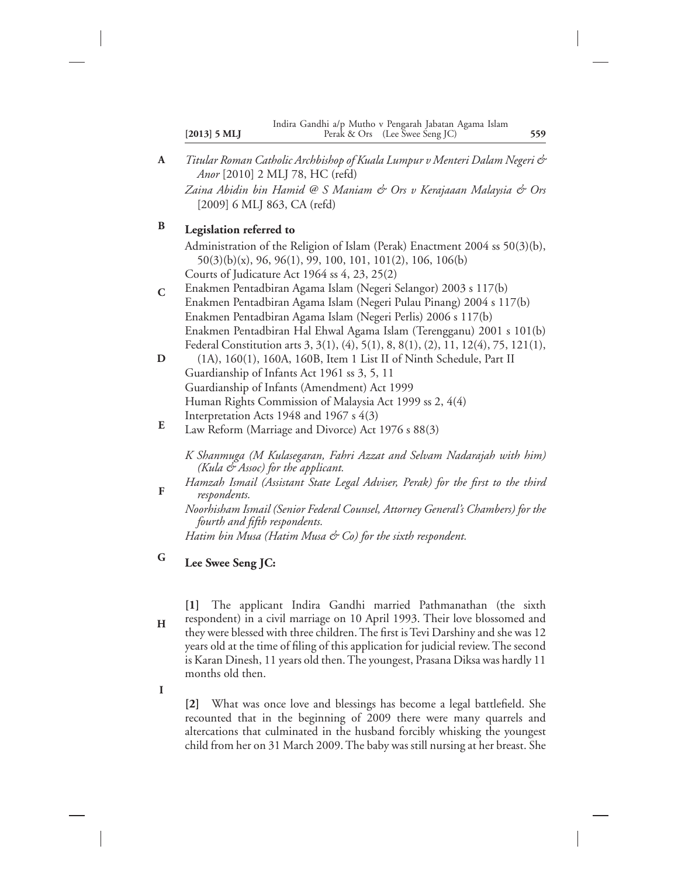*Titular Roman Catholic Archbishop of Kuala Lumpur v Menteri Dalam Negeri & Anor* [2010] 2 MLJ 78, HC (refd) *Zaina Abidin bin Hamid @ S Maniam & Ors v Kerajaaan Malaysia & Ors* **A**

[2009] 6 MLJ 863, CA (refd)

#### **Legislation referred to B**

Administration of the Religion of Islam (Perak) Enactment 2004 ss 50(3)(b), 50(3)(b)(x), 96, 96(1), 99, 100, 101, 101(2), 106, 106(b) Courts of Judicature Act 1964 ss 4, 23, 25(2)

- Enakmen Pentadbiran Agama Islam (Negeri Selangor) 2003 s 117(b) Enakmen Pentadbiran Agama Islam (Negeri Pulau Pinang) 2004 s 117(b) Enakmen Pentadbiran Agama Islam (Negeri Perlis) 2006 s 117(b) Enakmen Pentadbiran Hal Ehwal Agama Islam (Terengganu) 2001 s 101(b) Federal Constitution arts 3, 3(1), (4), 5(1), 8, 8(1), (2), 11, 12(4), 75, 121(1), **C**
- (1A), 160(1), 160A, 160B, Item 1 List II of Ninth Schedule, Part II Guardianship of Infants Act 1961 ss 3, 5, 11 Guardianship of Infants (Amendment) Act 1999 Human Rights Commission of Malaysia Act 1999 ss 2, 4(4) Interpretation Acts 1948 and 1967 s 4(3) **D**
- Law Reform (Marriage and Divorce) Act 1976 s 88(3) **E**

*K Shanmuga (M Kulasegaran, Fahri Azzat and Selvam Nadarajah with him) (Kula & Assoc) for the applicant.*

*Hamzah Ismail (Assistant State Legal Adviser, Perak) for the first to the third respondents.* **F**

*Noorhisham Ismail (Senior Federal Counsel, Attorney General's Chambers) for the fourth and fifth respondents.*

*Hatim bin Musa (Hatim Musa & Co) for the sixth respondent.*

**Lee Swee Seng JC: G**

**[1]** The applicant Indira Gandhi married Pathmanathan (the sixth respondent) in a civil marriage on 10 April 1993. Their love blossomed and they were blessed with three children. The first is Tevi Darshiny and she was 12 years old at the time of filing of this application for judicial review. The second is Karan Dinesh, 11 years old then. The youngest, Prasana Diksa was hardly 11 months old then. **H**

**I**

**[2]** What was once love and blessings has become a legal battlefield. She recounted that in the beginning of 2009 there were many quarrels and altercations that culminated in the husband forcibly whisking the youngest child from her on 31 March 2009. The baby was still nursing at her breast. She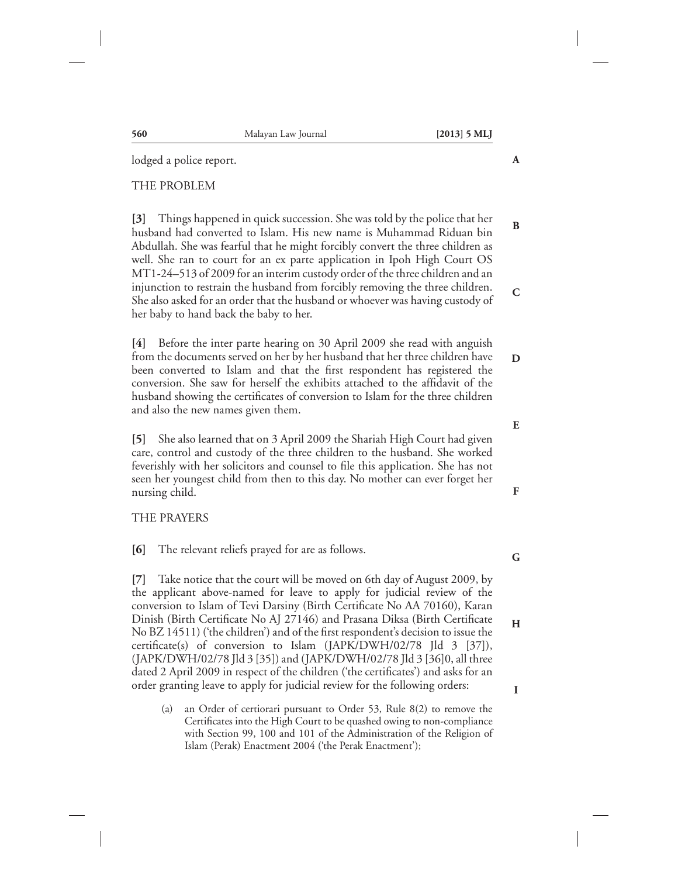| THE PROBLEM                                                                                                                                                                                                                                                                                                                                                                                                                                         |              |
|-----------------------------------------------------------------------------------------------------------------------------------------------------------------------------------------------------------------------------------------------------------------------------------------------------------------------------------------------------------------------------------------------------------------------------------------------------|--------------|
| [3] Things happened in quick succession. She was told by the police that her<br>husband had converted to Islam. His new name is Muhammad Riduan bin<br>Abdullah. She was fearful that he might forcibly convert the three children as<br>well. She ran to court for an ex parte application in Ipoh High Court OS                                                                                                                                   | B            |
| MT1-24-513 of 2009 for an interim custody order of the three children and an<br>injunction to restrain the husband from forcibly removing the three children.<br>She also asked for an order that the husband or whoever was having custody of<br>her baby to hand back the baby to her.                                                                                                                                                            | $\mathsf{C}$ |
| Before the inter parte hearing on 30 April 2009 she read with anguish<br>$[4]$<br>from the documents served on her by her husband that her three children have<br>been converted to Islam and that the first respondent has registered the<br>conversion. She saw for herself the exhibits attached to the affidavit of the<br>husband showing the certificates of conversion to Islam for the three children<br>and also the new names given them. | D            |
|                                                                                                                                                                                                                                                                                                                                                                                                                                                     | E            |
| She also learned that on 3 April 2009 the Shariah High Court had given<br>$\vert 5 \vert$<br>care, control and custody of the three children to the husband. She worked<br>feverishly with her solicitors and counsel to file this application. She has not                                                                                                                                                                                         |              |

seen her youngest child from then to this day. No mother can ever forget her nursing child.

# THE PRAYERS

**[6]** The relevant reliefs prayed for are as follows.

**[7]** Take notice that the court will be moved on 6th day of August 2009, by the applicant above-named for leave to apply for judicial review of the conversion to Islam of Tevi Darsiny (Birth Certificate No AA 70160), Karan Dinish (Birth Certificate No AJ 27146) and Prasana Diksa (Birth Certificate No BZ 14511) ('the children') and of the first respondent's decision to issue the certificate(s) of conversion to Islam (JAPK/DWH/02/78 Jld 3 [37]), (JAPK/DWH/02/78 Jld 3 [35]) and (JAPK/DWH/02/78 Jld 3 [36]0, all three dated 2 April 2009 in respect of the children ('the certificates') and asks for an order granting leave to apply for judicial review for the following orders:

(a) an Order of certiorari pursuant to Order 53, Rule 8(2) to remove the Certificates into the High Court to be quashed owing to non-compliance with Section 99, 100 and 101 of the Administration of the Religion of Islam (Perak) Enactment 2004 ('the Perak Enactment');

lodged a police report.

# **560** Malayan Law Journal **[2013] 5 MLJ**

**A**

**F**

**G**

**H**

**I**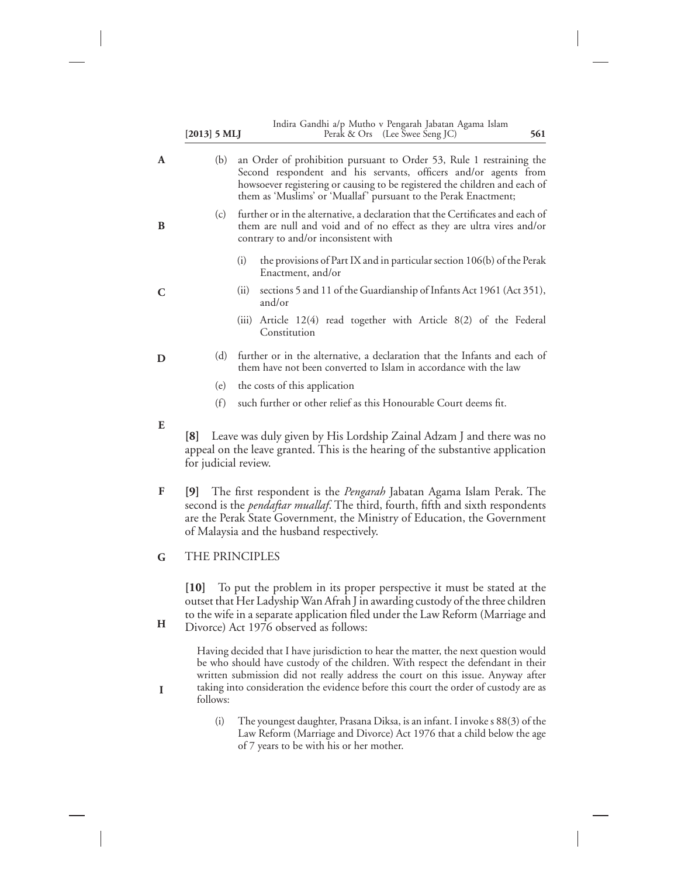| $[2013]$ 5 MLJ                            | Indira Gandhi a/p Mutho v Pengarah Jabatan Agama Islam<br>Perak & Ors (Lee Swee Seng JC)<br>561                                                                                                                                                                                                     |
|-------------------------------------------|-----------------------------------------------------------------------------------------------------------------------------------------------------------------------------------------------------------------------------------------------------------------------------------------------------|
| (b)                                       | an Order of prohibition pursuant to Order 53, Rule 1 restraining the<br>Second respondent and his servants, officers and/or agents from<br>howsoever registering or causing to be registered the children and each of<br>them as 'Muslims' or 'Muallaf' pursuant to the Perak Enactment;            |
| (c)                                       | further or in the alternative, a declaration that the Certificates and each of<br>them are null and void and of no effect as they are ultra vires and/or<br>contrary to and/or inconsistent with                                                                                                    |
|                                           | the provisions of Part IX and in particular section 106(b) of the Perak<br>(i)<br>Enactment, and/or                                                                                                                                                                                                 |
|                                           | sections 5 and 11 of the Guardianship of Infants Act 1961 (Act 351),<br>(ii)<br>and/or                                                                                                                                                                                                              |
|                                           | (iii) Article 12(4) read together with Article 8(2) of the Federal<br>Constitution                                                                                                                                                                                                                  |
| (d)                                       | further or in the alternative, a declaration that the Infants and each of<br>them have not been converted to Islam in accordance with the law                                                                                                                                                       |
| (e)                                       | the costs of this application                                                                                                                                                                                                                                                                       |
| (f)                                       | such further or other relief as this Honourable Court deems fit.                                                                                                                                                                                                                                    |
| $\lceil 8 \rceil$<br>for judicial review. | Leave was duly given by His Lordship Zainal Adzam J and there was no<br>appeal on the leave granted. This is the hearing of the substantive application                                                                                                                                             |
|                                           | [9] The first respondent is the <i>Pengarah</i> Jabatan Agama Islam Perak. The<br>second is the <i>pendaftar muallaf</i> . The third, fourth, fifth and sixth respondents<br>are the Perak State Government, the Ministry of Education, the Government<br>of Malaysia and the husband respectively. |
|                                           |                                                                                                                                                                                                                                                                                                     |

THE PRINCIPLES **G**

**H**

**I**

**[10]** To put the problem in its proper perspective it must be stated at the outset that Her Ladyship Wan Afrah J in awarding custody of the three children to the wife in a separate application filed under the Law Reform (Marriage and Divorce) Act 1976 observed as follows:

Having decided that I have jurisdiction to hear the matter, the next question would be who should have custody of the children. With respect the defendant in their written submission did not really address the court on this issue. Anyway after taking into consideration the evidence before this court the order of custody are as follows:

(i) The youngest daughter, Prasana Diksa, is an infant. I invoke s 88(3) of the Law Reform (Marriage and Divorce) Act 1976 that a child below the age of 7 years to be with his or her mother.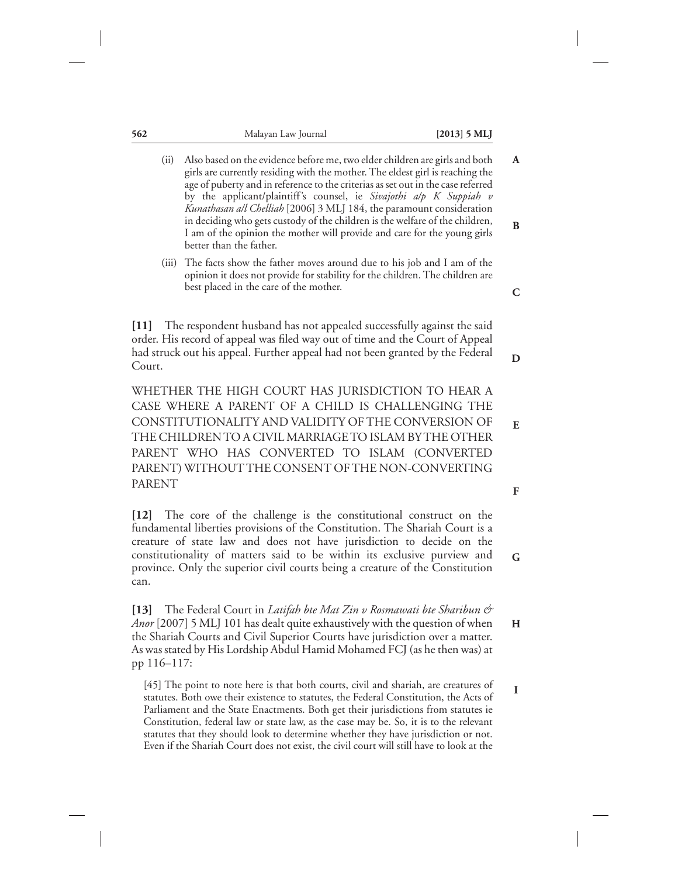| 562                                                                                                                                                                                                                                                                                                                                                                                                      | Malayan Law Journal                                                                                                                                                                                                                                                                                                                                                                                                                                                                                                                                                                    | $[2013]$ 5 MLJ |
|----------------------------------------------------------------------------------------------------------------------------------------------------------------------------------------------------------------------------------------------------------------------------------------------------------------------------------------------------------------------------------------------------------|----------------------------------------------------------------------------------------------------------------------------------------------------------------------------------------------------------------------------------------------------------------------------------------------------------------------------------------------------------------------------------------------------------------------------------------------------------------------------------------------------------------------------------------------------------------------------------------|----------------|
| (ii)                                                                                                                                                                                                                                                                                                                                                                                                     | Also based on the evidence before me, two elder children are girls and both<br>girls are currently residing with the mother. The eldest girl is reaching the<br>age of puberty and in reference to the criterias as set out in the case referred<br>by the applicant/plaintiff's counsel, ie Sivajothi alp K Suppiah v<br>Kunathasan all Chelliah [2006] 3 MLJ 184, the paramount consideration<br>in deciding who gets custody of the children is the welfare of the children,<br>I am of the opinion the mother will provide and care for the young girls<br>better than the father. | A<br>B         |
| (iii)                                                                                                                                                                                                                                                                                                                                                                                                    | The facts show the father moves around due to his job and I am of the<br>opinion it does not provide for stability for the children. The children are<br>best placed in the care of the mother.                                                                                                                                                                                                                                                                                                                                                                                        | C              |
| $[11]$<br>Court.                                                                                                                                                                                                                                                                                                                                                                                         | The respondent husband has not appealed successfully against the said<br>order. His record of appeal was filed way out of time and the Court of Appeal<br>had struck out his appeal. Further appeal had not been granted by the Federal                                                                                                                                                                                                                                                                                                                                                | D              |
|                                                                                                                                                                                                                                                                                                                                                                                                          | WHETHER THE HIGH COURT HAS JURISDICTION TO HEAR A<br>CASE WHERE A PARENT OF A CHILD IS CHALLENGING THE<br>CONSTITUTIONALITY AND VALIDITY OF THE CONVERSION OF<br>THE CHILDREN TO A CIVIL MARRIAGE TO ISLAM BY THE OTHER<br>PARENT WHO HAS CONVERTED TO ISLAM (CONVERTED<br>PARENT) WITHOUT THE CONSENT OF THE NON-CONVERTING                                                                                                                                                                                                                                                           | E              |
| <b>PARENT</b>                                                                                                                                                                                                                                                                                                                                                                                            |                                                                                                                                                                                                                                                                                                                                                                                                                                                                                                                                                                                        | F              |
| The core of the challenge is the constitutional construct on the<br>$[12]$<br>fundamental liberties provisions of the Constitution. The Shariah Court is a<br>creature of state law and does not have jurisdiction to decide on the<br>constitutionality of matters said to be within its exclusive purview and<br>province. Only the superior civil courts being a creature of the Constitution<br>can. |                                                                                                                                                                                                                                                                                                                                                                                                                                                                                                                                                                                        |                |
| 131<br>pp 116-117:                                                                                                                                                                                                                                                                                                                                                                                       | The Federal Court in Latifah bte Mat Zin v Rosmawati bte Sharibun &<br>Anor [2007] 5 MLJ 101 has dealt quite exhaustively with the question of when<br>the Shariah Courts and Civil Superior Courts have jurisdiction over a matter.<br>As was stated by His Lordship Abdul Hamid Mohamed FCJ (as he then was) at                                                                                                                                                                                                                                                                      | H              |
|                                                                                                                                                                                                                                                                                                                                                                                                          | [45] The point to note here is that both courts, civil and shariah, are creatures of                                                                                                                                                                                                                                                                                                                                                                                                                                                                                                   | 1              |

statutes. Both owe their existence to statutes, the Federal Constitution, the Acts of Parliament and the State Enactments. Both get their jurisdictions from statutes ie Constitution, federal law or state law, as the case may be. So, it is to the relevant statutes that they should look to determine whether they have jurisdiction or not. Even if the Shariah Court does not exist, the civil court will still have to look at the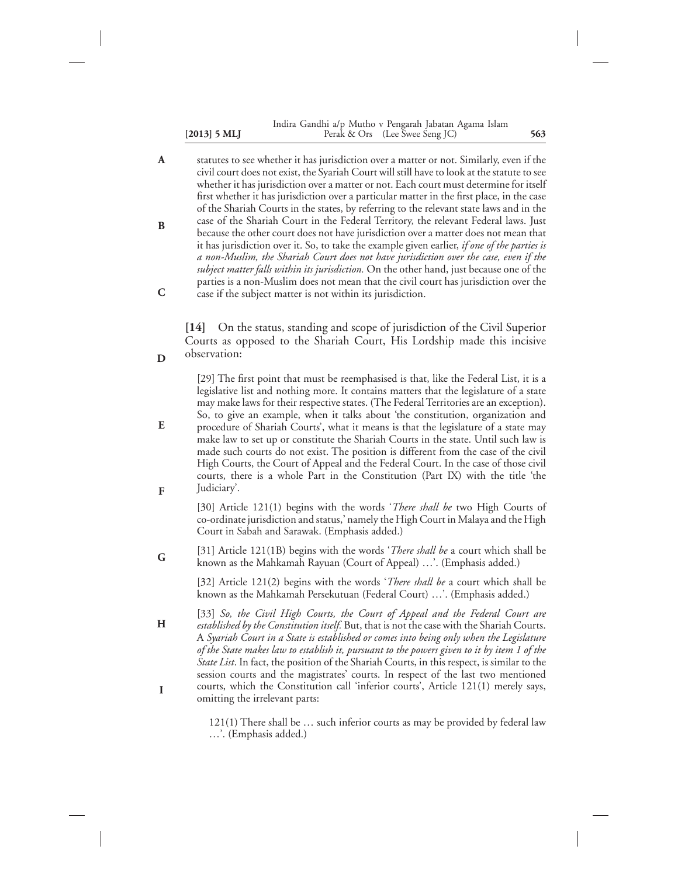### **[2013] 5 MLJ 563** Perak & Ors (Lee Swee Seng JC) Indira Gandhi a/p Mutho v Pengarah Jabatan Agama Islam

statutes to see whether it has jurisdiction over a matter or not. Similarly, even if the civil court does not exist, the Syariah Court will still have to look at the statute to see whether it has jurisdiction over a matter or not. Each court must determine for itself first whether it has jurisdiction over a particular matter in the first place, in the case of the Shariah Courts in the states, by referring to the relevant state laws and in the case of the Shariah Court in the Federal Territory, the relevant Federal laws. Just because the other court does not have jurisdiction over a matter does not mean that it has jurisdiction over it. So, to take the example given earlier, *if one of the parties is a non-Muslim, the Shariah Court does not have jurisdiction over the case, even if the subject matter falls within its jurisdiction.* On the other hand, just because one of the parties is a non-Muslim does not mean that the civil court has jurisdiction over the case if the subject matter is not within its jurisdiction. **A B C**

**[14]** On the status, standing and scope of jurisdiction of the Civil Superior Courts as opposed to the Shariah Court, His Lordship made this incisive observation:

**D**

[29] The first point that must be reemphasised is that, like the Federal List, it is a legislative list and nothing more. It contains matters that the legislature of a state may make laws for their respective states. (The Federal Territories are an exception). So, to give an example, when it talks about 'the constitution, organization and procedure of Shariah Courts', what it means is that the legislature of a state may make law to set up or constitute the Shariah Courts in the state. Until such law is made such courts do not exist. The position is different from the case of the civil High Courts, the Court of Appeal and the Federal Court. In the case of those civil courts, there is a whole Part in the Constitution (Part IX) with the title 'the Judiciary'. **E F**

[30] Article 121(1) begins with the words '*There shall be* two High Courts of co-ordinate jurisdiction and status,' namely the High Court in Malaya and the High Court in Sabah and Sarawak. (Emphasis added.)

[31] Article 121(1B) begins with the words '*There shall be* a court which shall be known as the Mahkamah Rayuan (Court of Appeal) …'. (Emphasis added.) **G**

> [32] Article 121(2) begins with the words '*There shall be* a court which shall be known as the Mahkamah Persekutuan (Federal Court) …'. (Emphasis added.)

[33] *So, the Civil High Courts, the Court of Appeal and the Federal Court are established by the Constitution itself.* But, that is not the case with the Shariah Courts. A *Syariah Court in a State is established or comes into being only when the Legislature of the State makes law to establish it, pursuant to the powers given to it by item 1 of the State List*. In fact, the position of the Shariah Courts, in this respect, is similar to the session courts and the magistrates' courts. In respect of the last two mentioned courts, which the Constitution call 'inferior courts', Article 121(1) merely says, omitting the irrelevant parts: **H I**

> 121(1) There shall be … such inferior courts as may be provided by federal law …'. (Emphasis added.)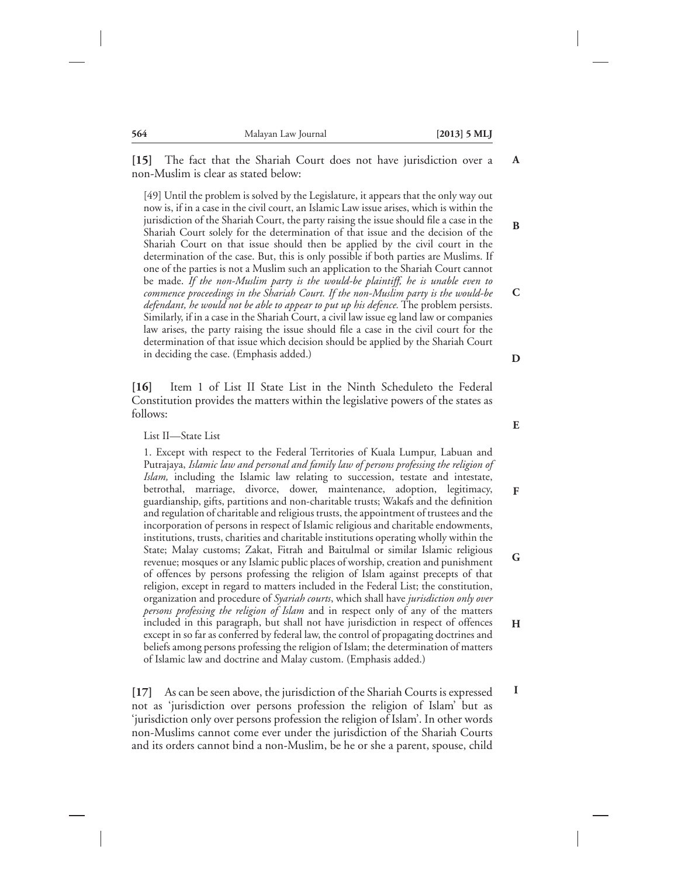**[15]** The fact that the Shariah Court does not have jurisdiction over a non-Muslim is clear as stated below:

[49] Until the problem is solved by the Legislature, it appears that the only way out now is, if in a case in the civil court, an Islamic Law issue arises, which is within the jurisdiction of the Shariah Court, the party raising the issue should file a case in the Shariah Court solely for the determination of that issue and the decision of the Shariah Court on that issue should then be applied by the civil court in the determination of the case. But, this is only possible if both parties are Muslims. If one of the parties is not a Muslim such an application to the Shariah Court cannot be made. *If the non-Muslim party is the would-be plaintiff, he is unable even to commence proceedings in the Shariah Court. If the non-Muslim party is the would-be defendant, he would not be able to appear to put up his defence.* The problem persists. Similarly, if in a case in the Shariah Court, a civil law issue eg land law or companies law arises, the party raising the issue should file a case in the civil court for the determination of that issue which decision should be applied by the Shariah Court in deciding the case. (Emphasis added.)

**[16]** Item 1 of List II State List in the Ninth Scheduleto the Federal Constitution provides the matters within the legislative powers of the states as follows:

List II—State List

1. Except with respect to the Federal Territories of Kuala Lumpur, Labuan and Putrajaya, *Islamic law and personal and family law of persons professing the religion of Islam,* including the Islamic law relating to succession, testate and intestate, betrothal, marriage, divorce, dower, maintenance, adoption, legitimacy, guardianship, gifts, partitions and non-charitable trusts; Wakafs and the definition and regulation of charitable and religious trusts, the appointment of trustees and the incorporation of persons in respect of Islamic religious and charitable endowments, institutions, trusts, charities and charitable institutions operating wholly within the State; Malay customs; Zakat, Fitrah and Baitulmal or similar Islamic religious revenue; mosques or any Islamic public places of worship, creation and punishment of offences by persons professing the religion of Islam against precepts of that religion, except in regard to matters included in the Federal List; the constitution, organization and procedure of *Syariah courts*, which shall have *jurisdiction only over persons professing the religion of Islam* and in respect only of any of the matters included in this paragraph, but shall not have jurisdiction in respect of offences except in so far as conferred by federal law, the control of propagating doctrines and beliefs among persons professing the religion of Islam; the determination of matters of Islamic law and doctrine and Malay custom. (Emphasis added.) **F G H**

**[17]** As can be seen above, the jurisdiction of the Shariah Courts is expressed not as 'jurisdiction over persons profession the religion of Islam' but as 'jurisdiction only over persons profession the religion of Islam'. In other words non-Muslims cannot come ever under the jurisdiction of the Shariah Courts and its orders cannot bind a non-Muslim, be he or she a parent, spouse, child

**E**

**I**

**D**

**A**

**B**

**C**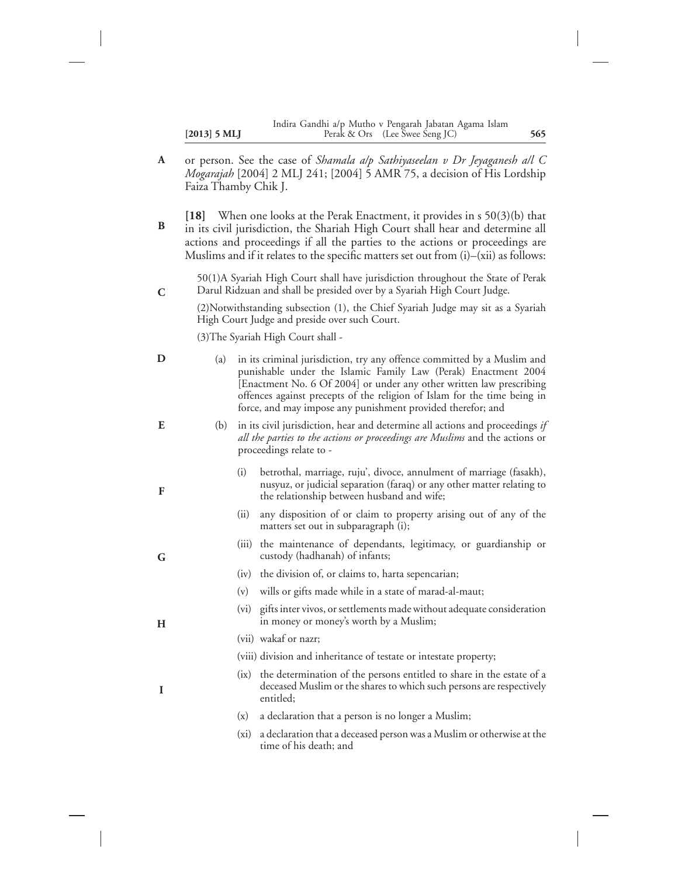|                | Indira Gandhi a/p Mutho v Pengarah Jabatan Agama Islam |     |
|----------------|--------------------------------------------------------|-----|
| $[2013]$ 5 MLJ | Perak & Ors (Lee Swee Seng JC)                         | 565 |

- or person. See the case of *Shamala a/p Sathiyaseelan v Dr Jeyaganesh a/l C Mogarajah* [2004] 2 MLJ 241; [2004] 5 AMR 75, a decision of His Lordship Faiza Thamby Chik J. **A**
- **[18]** When one looks at the Perak Enactment, it provides in s 50(3)(b) that in its civil jurisdiction, the Shariah High Court shall hear and determine all actions and proceedings if all the parties to the actions or proceedings are Muslims and if it relates to the specific matters set out from (i)–(xii) as follows: **B**

50(1)A Syariah High Court shall have jurisdiction throughout the State of Perak Darul Ridzuan and shall be presided over by a Syariah High Court Judge.

(2)Notwithstanding subsection (1), the Chief Syariah Judge may sit as a Syariah High Court Judge and preside over such Court.

(3)The Syariah High Court shall -

**C**

| D | (a) |                                                                                                                                                                                         | in its criminal jurisdiction, try any offence committed by a Muslim and<br>punishable under the Islamic Family Law (Perak) Enactment 2004<br>[Enactment No. 6 Of 2004] or under any other written law prescribing<br>offences against precepts of the religion of Islam for the time being in<br>force, and may impose any punishment provided therefor; and |
|---|-----|-----------------------------------------------------------------------------------------------------------------------------------------------------------------------------------------|--------------------------------------------------------------------------------------------------------------------------------------------------------------------------------------------------------------------------------------------------------------------------------------------------------------------------------------------------------------|
| E | (b) | in its civil jurisdiction, hear and determine all actions and proceedings if<br>all the parties to the actions or proceedings are Muslims and the actions or<br>proceedings relate to - |                                                                                                                                                                                                                                                                                                                                                              |
| F |     | (i)                                                                                                                                                                                     | betrothal, marriage, ruju', divoce, annulment of marriage (fasakh),<br>nusyuz, or judicial separation (faraq) or any other matter relating to<br>the relationship between husband and wife;                                                                                                                                                                  |
|   |     | (ii)                                                                                                                                                                                    | any disposition of or claim to property arising out of any of the<br>matters set out in subparagraph (i);                                                                                                                                                                                                                                                    |
| G |     | (iii)                                                                                                                                                                                   | the maintenance of dependants, legitimacy, or guardianship or<br>custody (hadhanah) of infants;                                                                                                                                                                                                                                                              |
|   |     | (iv)                                                                                                                                                                                    | the division of, or claims to, harta sepencarian;                                                                                                                                                                                                                                                                                                            |
|   |     | (v)                                                                                                                                                                                     | wills or gifts made while in a state of marad-al-maut;                                                                                                                                                                                                                                                                                                       |
| H |     |                                                                                                                                                                                         | (vi) gifts inter vivos, or settlements made without adequate consideration<br>in money or money's worth by a Muslim;                                                                                                                                                                                                                                         |
|   |     |                                                                                                                                                                                         | (vii) wakaf or nazr;                                                                                                                                                                                                                                                                                                                                         |
|   |     |                                                                                                                                                                                         | (viii) division and inheritance of testate or intestate property;                                                                                                                                                                                                                                                                                            |
| I |     |                                                                                                                                                                                         | (ix) the determination of the persons entitled to share in the estate of a<br>deceased Muslim or the shares to which such persons are respectively<br>entitled;                                                                                                                                                                                              |
|   |     | (x)                                                                                                                                                                                     | a declaration that a person is no longer a Muslim;                                                                                                                                                                                                                                                                                                           |
|   |     |                                                                                                                                                                                         | $(v_i)$ a declaration that a deceased person was a Muslim or otherwise at the                                                                                                                                                                                                                                                                                |

aration that a deceased person was a Muslim or otherwise at the time of his death; and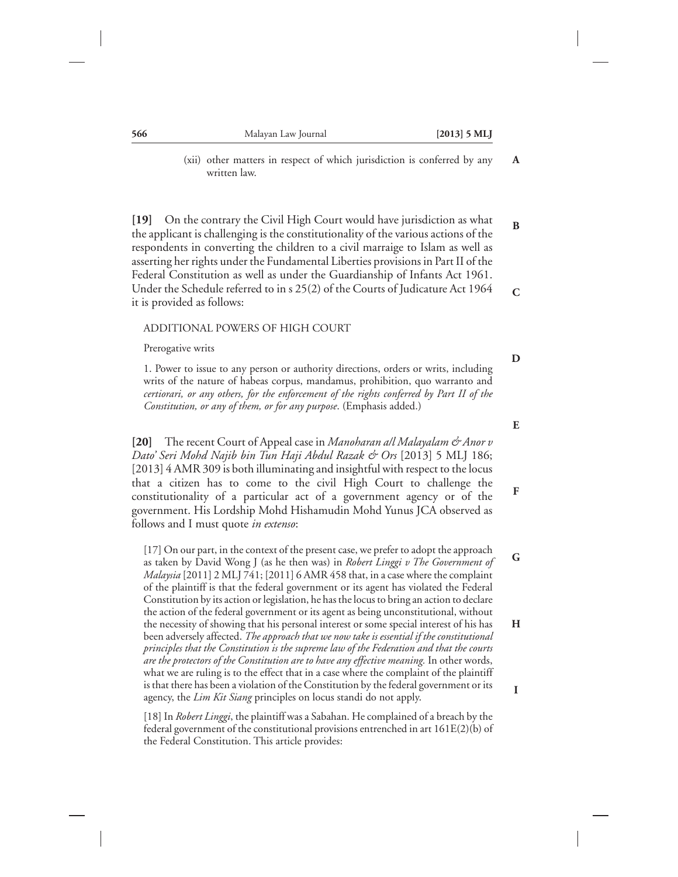(xii) other matters in respect of which jurisdiction is conferred by any written law.

**[19]** On the contrary the Civil High Court would have jurisdiction as what the applicant is challenging is the constitutionality of the various actions of the respondents in converting the children to a civil marraige to Islam as well as asserting her rights under the Fundamental Liberties provisions in Part II of the Federal Constitution as well as under the Guardianship of Infants Act 1961. Under the Schedule referred to in s 25(2) of the Courts of Judicature Act 1964 it is provided as follows: **C**

## ADDITIONAL POWERS OF HIGH COURT

Prerogative writs

1. Power to issue to any person or authority directions, orders or writs, including writs of the nature of habeas corpus, mandamus, prohibition, quo warranto and *certiorari, or any others, for the enforcement of the rights conferred by Part II of the Constitution, or any of them, or for any purpose*. (Emphasis added.)

**[20]** The recent Court of Appeal case in *Manoharan a/l Malayalam & Anor v Dato' Seri Mohd Najib bin Tun Haji Abdul Razak & Ors* [2013] 5 MLJ 186; [2013] 4 AMR 309 is both illuminating and insightful with respect to the locus that a citizen has to come to the civil High Court to challenge the constitutionality of a particular act of a government agency or of the government. His Lordship Mohd Hishamudin Mohd Yunus JCA observed as follows and I must quote *in extenso*:

[17] On our part, in the context of the present case, we prefer to adopt the approach as taken by David Wong J (as he then was) in *Robert Linggi v The Government of Malaysia* [2011] 2 MLJ 741; [2011] 6 AMR 458 that, in a case where the complaint of the plaintiff is that the federal government or its agent has violated the Federal Constitution by its action or legislation, he has the locus to bring an action to declare the action of the federal government or its agent as being unconstitutional, without the necessity of showing that his personal interest or some special interest of his has been adversely affected. *The approach that we now take is essential if the constitutional principles that the Constitution is the supreme law of the Federation and that the courts are the protectors of the Constitution are to have any effective meaning.* In other words, what we are ruling is to the effect that in a case where the complaint of the plaintiff is that there has been a violation of the Constitution by the federal government or its agency, the *Lim Kit Siang* principles on locus standi do not apply. **G H I**

[18] In *Robert Linggi*, the plaintiff was a Sabahan. He complained of a breach by the federal government of the constitutional provisions entrenched in art 161E(2)(b) of the Federal Constitution. This article provides:

**D**

**A**

**B**

**E**

**F**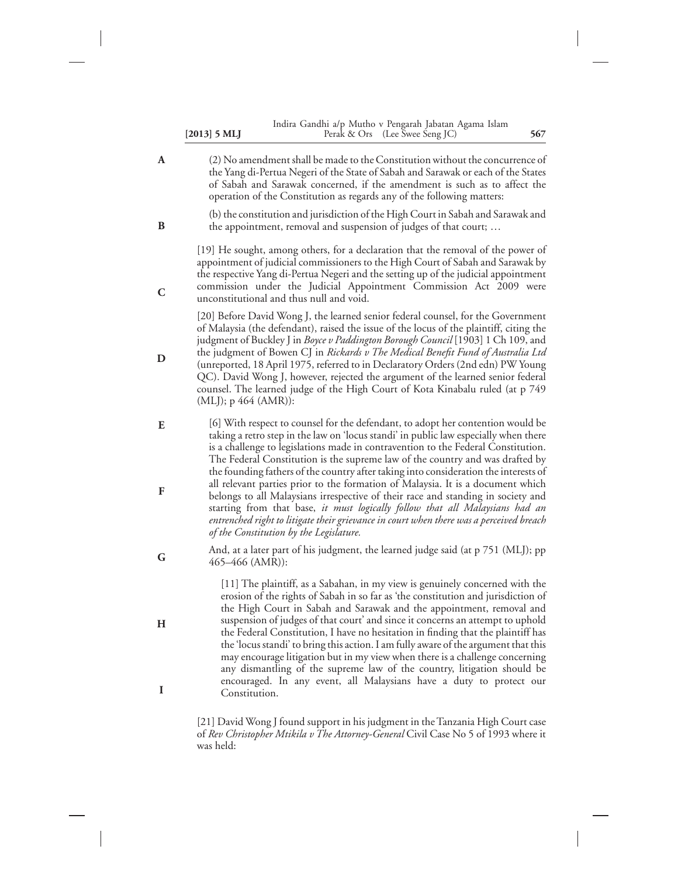|                | Indira Gandhi a/p Mutho v Pengarah Jabatan Agama Islam |     |
|----------------|--------------------------------------------------------|-----|
| $[2013]$ 5 MLJ | Perak & Ors (Lee Swee Seng JC)                         | 567 |

(2) No amendment shall be made to the Constitution without the concurrence of the Yang di-Pertua Negeri of the State of Sabah and Sarawak or each of the States of Sabah and Sarawak concerned, if the amendment is such as to affect the operation of the Constitution as regards any of the following matters: **A**

**B**

**C**

**H**

**I**

(b) the constitution and jurisdiction of the High Court in Sabah and Sarawak and the appointment, removal and suspension of judges of that court; …

[19] He sought, among others, for a declaration that the removal of the power of appointment of judicial commissioners to the High Court of Sabah and Sarawak by the respective Yang di-Pertua Negeri and the setting up of the judicial appointment commission under the Judicial Appointment Commission Act 2009 were unconstitutional and thus null and void.

[20] Before David Wong J, the learned senior federal counsel, for the Government of Malaysia (the defendant), raised the issue of the locus of the plaintiff, citing the judgment of Buckley J in *Boyce v Paddington Borough Council* [1903] 1 Ch 109, and the judgment of Bowen CJ in *Rickards v The Medical Benefit Fund of Australia Ltd* (unreported, 18 April 1975, referred to in Declaratory Orders (2nd edn) PW Young QC). David Wong J, however, rejected the argument of the learned senior federal counsel. The learned judge of the High Court of Kota Kinabalu ruled (at p 749 (MLJ); p 464 (AMR)): **D**

- [6] With respect to counsel for the defendant, to adopt her contention would be taking a retro step in the law on 'locus standi' in public law especially when there is a challenge to legislations made in contravention to the Federal Constitution. The Federal Constitution is the supreme law of the country and was drafted by the founding fathers of the country after taking into consideration the interests of all relevant parties prior to the formation of Malaysia. It is a document which belongs to all Malaysians irrespective of their race and standing in society and starting from that base, *it must logically follow that all Malaysians had an entrenched right to litigate their grievance in court when there was a perceived breach of the Constitution by the Legislature.* **E F**
- And, at a later part of his judgment, the learned judge said (at p 751 (MLJ); pp 465–466 (AMR)): **G**

[11] The plaintiff, as a Sabahan, in my view is genuinely concerned with the erosion of the rights of Sabah in so far as 'the constitution and jurisdiction of the High Court in Sabah and Sarawak and the appointment, removal and suspension of judges of that court' and since it concerns an attempt to uphold the Federal Constitution, I have no hesitation in finding that the plaintiff has the 'locus standi' to bring this action. I am fully aware of the argument that this may encourage litigation but in my view when there is a challenge concerning any dismantling of the supreme law of the country, litigation should be encouraged. In any event, all Malaysians have a duty to protect our Constitution.

[21] David Wong J found support in his judgment in the Tanzania High Court case of *Rev Christopher Mtikila v The Attorney-General* Civil Case No 5 of 1993 where it was held: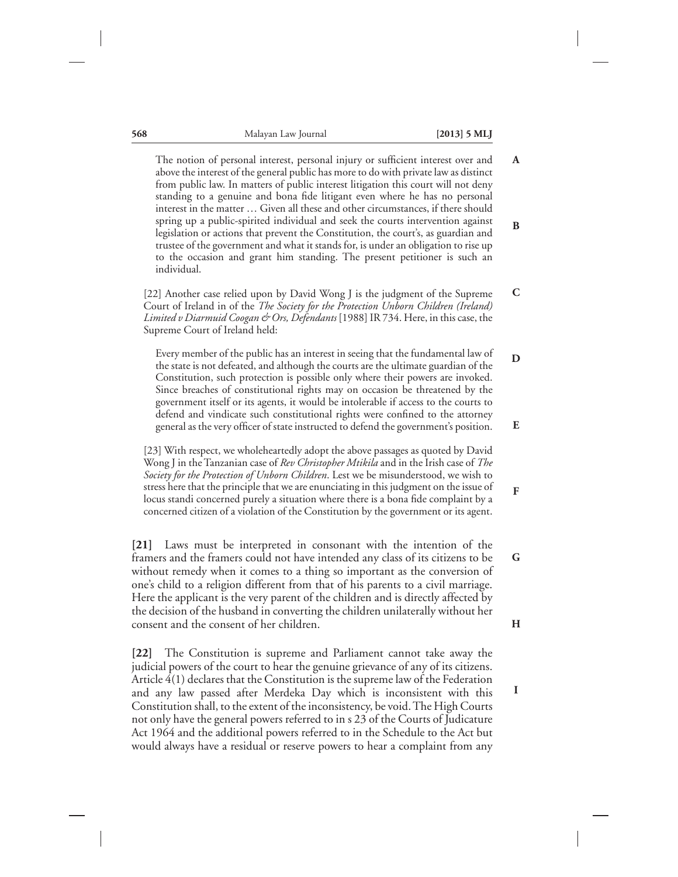**F**

**G**

**H**

**I**

**568** Malayan Law Journal **[2013] 5 MLJ**

The notion of personal interest, personal injury or sufficient interest over and above the interest of the general public has more to do with private law as distinct from public law. In matters of public interest litigation this court will not deny standing to a genuine and bona fide litigant even where he has no personal interest in the matter … Given all these and other circumstances, if there should spring up a public-spirited individual and seek the courts intervention against legislation or actions that prevent the Constitution, the court's, as guardian and trustee of the government and what it stands for, is under an obligation to rise up to the occasion and grant him standing. The present petitioner is such an individual. **A B**

[22] Another case relied upon by David Wong J is the judgment of the Supreme Court of Ireland in of the *The Society for the Protection Unborn Children (Ireland) Limited v Diarmuid Coogan & Ors, Defendants* [1988] IR 734. Here, in this case, the Supreme Court of Ireland held: **C**

Every member of the public has an interest in seeing that the fundamental law of the state is not defeated, and although the courts are the ultimate guardian of the Constitution, such protection is possible only where their powers are invoked. Since breaches of constitutional rights may on occasion be threatened by the government itself or its agents, it would be intolerable if access to the courts to defend and vindicate such constitutional rights were confined to the attorney general as the very officer of state instructed to defend the government's position. **D E**

[23] With respect, we wholeheartedly adopt the above passages as quoted by David Wong J in the Tanzanian case of *Rev Christopher Mtikila* and in the Irish case of *The Society for the Protection of Unborn Children*. Lest we be misunderstood, we wish to stress here that the principle that we are enunciating in this judgment on the issue of locus standi concerned purely a situation where there is a bona fide complaint by a concerned citizen of a violation of the Constitution by the government or its agent.

**[21]** Laws must be interpreted in consonant with the intention of the framers and the framers could not have intended any class of its citizens to be without remedy when it comes to a thing so important as the conversion of one's child to a religion different from that of his parents to a civil marriage. Here the applicant is the very parent of the children and is directly affected by the decision of the husband in converting the children unilaterally without her consent and the consent of her children.

**[22]** The Constitution is supreme and Parliament cannot take away the judicial powers of the court to hear the genuine grievance of any of its citizens. Article 4(1) declares that the Constitution is the supreme law of the Federation and any law passed after Merdeka Day which is inconsistent with this Constitution shall, to the extent of the inconsistency, be void.The High Courts not only have the general powers referred to in s 23 of the Courts of Judicature Act 1964 and the additional powers referred to in the Schedule to the Act but would always have a residual or reserve powers to hear a complaint from any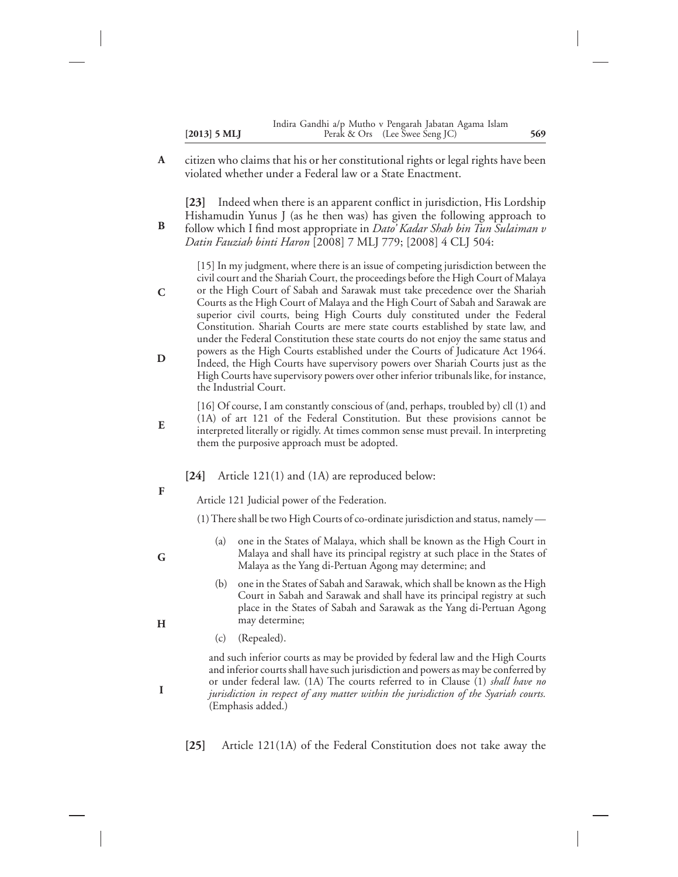|                | Indira Gandhi a/p Mutho v Pengarah Jabatan Agama Islam |     |
|----------------|--------------------------------------------------------|-----|
| $[2013]$ 5 MLJ | Perak & Ors (Lee Swee Seng JC)                         | 569 |

citizen who claims that his or her constitutional rights or legal rights have been violated whether under a Federal law or a State Enactment. **A**

**[23]** Indeed when there is an apparent conflict in jurisdiction, His Lordship Hishamudin Yunus J (as he then was) has given the following approach to

follow which I find most appropriate in *Dato' Kadar Shah bin Tun Sulaiman v Datin Fauziah binti Haron* [2008] 7 MLJ 779; [2008] 4 CLJ 504: **B**

[15] In my judgment, where there is an issue of competing jurisdiction between the civil court and the Shariah Court, the proceedings before the High Court of Malaya or the High Court of Sabah and Sarawak must take precedence over the Shariah Courts as the High Court of Malaya and the High Court of Sabah and Sarawak are superior civil courts, being High Courts duly constituted under the Federal Constitution. Shariah Courts are mere state courts established by state law, and under the Federal Constitution these state courts do not enjoy the same status and powers as the High Courts established under the Courts of Judicature Act 1964. Indeed, the High Courts have supervisory powers over Shariah Courts just as the High Courts have supervisory powers over other inferior tribunals like, for instance, **C D**

- the Industrial Court. [16] Of course, I am constantly conscious of (and, perhaps, troubled by) cll (1) and (1A) of art 121 of the Federal Constitution. But these provisions cannot be interpreted literally or rigidly. At times common sense must prevail. In interpreting
	- **[24]** Article 121(1) and (1A) are reproduced below:
- **F**

**G**

**E**

Article 121 Judicial power of the Federation.

them the purposive approach must be adopted.

(1)There shall be two High Courts of co-ordinate jurisdiction and status, namely —

- (a) one in the States of Malaya, which shall be known as the High Court in Malaya and shall have its principal registry at such place in the States of Malaya as the Yang di-Pertuan Agong may determine; and
- (b) one in the States of Sabah and Sarawak, which shall be known as the High Court in Sabah and Sarawak and shall have its principal registry at such place in the States of Sabah and Sarawak as the Yang di-Pertuan Agong may determine;
- (c) (Repealed).

and such inferior courts as may be provided by federal law and the High Courts and inferior courts shall have such jurisdiction and powers as may be conferred by or under federal law. (1A) The courts referred to in Clause (1) *shall have no jurisdiction in respect of any matter within the jurisdiction of the Syariah courts.* (Emphasis added.)

**[25]** Article 121(1A) of the Federal Constitution does not take away the

- **H**
	-

**I**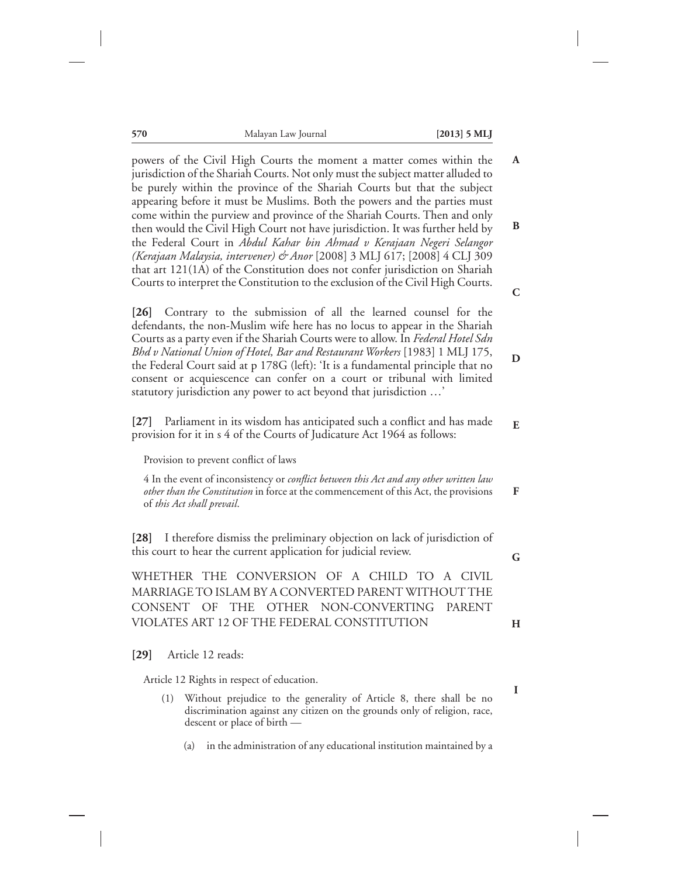| 570                        | Malayan Law Journal                                                                                                                                                                                                                                                                                                                                                                                                                                                                                                                               | $[2013]$ 5 MLJ |                  |
|----------------------------|---------------------------------------------------------------------------------------------------------------------------------------------------------------------------------------------------------------------------------------------------------------------------------------------------------------------------------------------------------------------------------------------------------------------------------------------------------------------------------------------------------------------------------------------------|----------------|------------------|
|                            | powers of the Civil High Courts the moment a matter comes within the<br>jurisdiction of the Shariah Courts. Not only must the subject matter alluded to<br>be purely within the province of the Shariah Courts but that the subject<br>appearing before it must be Muslims. Both the powers and the parties must                                                                                                                                                                                                                                  |                | A                |
|                            | come within the purview and province of the Shariah Courts. Then and only<br>then would the Civil High Court not have jurisdiction. It was further held by<br>the Federal Court in Abdul Kahar bin Ahmad v Kerajaan Negeri Selangor<br>(Kerajaan Malaysia, intervener) & Anor [2008] 3 MLJ 617; [2008] 4 CLJ 309<br>that art 121(1A) of the Constitution does not confer jurisdiction on Shariah<br>Courts to interpret the Constitution to the exclusion of the Civil High Courts.                                                               |                | B<br>$\mathbf C$ |
| $\left[26\right]$          | Contrary to the submission of all the learned counsel for the<br>defendants, the non-Muslim wife here has no locus to appear in the Shariah<br>Courts as a party even if the Shariah Courts were to allow. In Federal Hotel Sdn<br>Bhd v National Union of Hotel, Bar and Restaurant Workers [1983] 1 MLJ 175,<br>the Federal Court said at p 178G (left): 'It is a fundamental principle that no<br>consent or acquiescence can confer on a court or tribunal with limited<br>statutory jurisdiction any power to act beyond that jurisdiction ' |                | D                |
|                            | [27] Parliament in its wisdom has anticipated such a conflict and has made<br>provision for it in s 4 of the Courts of Judicature Act 1964 as follows:<br>Provision to prevent conflict of laws                                                                                                                                                                                                                                                                                                                                                   |                | E                |
| of this Act shall prevail. | 4 In the event of inconsistency or conflict between this Act and any other written law<br>other than the Constitution in force at the commencement of this Act, the provisions                                                                                                                                                                                                                                                                                                                                                                    |                | F                |
| [28]                       | I therefore dismiss the preliminary objection on lack of jurisdiction of<br>this court to hear the current application for judicial review.                                                                                                                                                                                                                                                                                                                                                                                                       |                | G                |
| <b>CONSENT</b>             | WHETHER THE CONVERSION OF A CHILD TO A CIVIL<br>MARRIAGE TO ISLAM BY A CONVERTED PARENT WITHOUT THE<br>OF<br><b>THE</b><br>OTHER NON-CONVERTING<br>VIOLATES ART 12 OF THE FEDERAL CONSTITUTION                                                                                                                                                                                                                                                                                                                                                    | <b>PARENT</b>  | H                |
| $[29]$                     | Article 12 reads:                                                                                                                                                                                                                                                                                                                                                                                                                                                                                                                                 |                |                  |
|                            | Article 12 Rights in respect of education.                                                                                                                                                                                                                                                                                                                                                                                                                                                                                                        |                | 1                |
| (1)                        | Without prejudice to the generality of Article 8, there shall be no<br>discrimination against any citizen on the grounds only of religion, race,<br>descent or place of birth -                                                                                                                                                                                                                                                                                                                                                                   |                |                  |

(a) in the administration of any educational institution maintained by a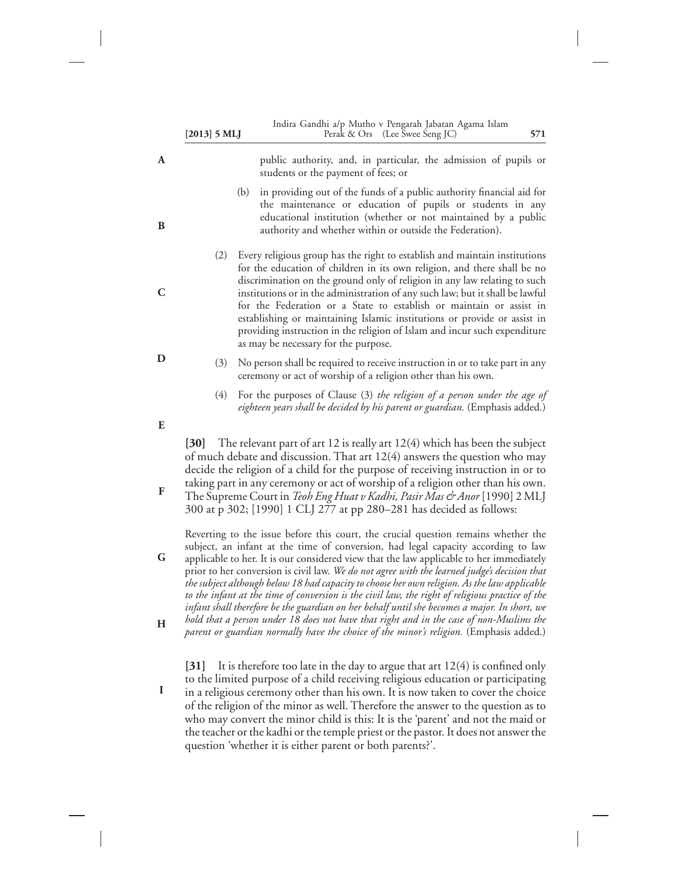|        | $[2013]$ 5 MLJ    |     | Indira Gandhi a/p Mutho v Pengarah Jabatan Agama Islam<br>Perak & Ors (Lee Swee Seng JC)                                                                                                                                                                                                                                                                                                                                                                                                                                                                                                                                                                                                                                                                          | 571 |
|--------|-------------------|-----|-------------------------------------------------------------------------------------------------------------------------------------------------------------------------------------------------------------------------------------------------------------------------------------------------------------------------------------------------------------------------------------------------------------------------------------------------------------------------------------------------------------------------------------------------------------------------------------------------------------------------------------------------------------------------------------------------------------------------------------------------------------------|-----|
| A      |                   |     | public authority, and, in particular, the admission of pupils or<br>students or the payment of fees; or                                                                                                                                                                                                                                                                                                                                                                                                                                                                                                                                                                                                                                                           |     |
| B      |                   | (b) | in providing out of the funds of a public authority financial aid for<br>the maintenance or education of pupils or students in any<br>educational institution (whether or not maintained by a public<br>authority and whether within or outside the Federation).                                                                                                                                                                                                                                                                                                                                                                                                                                                                                                  |     |
| C      | (2)               |     | Every religious group has the right to establish and maintain institutions<br>for the education of children in its own religion, and there shall be no<br>discrimination on the ground only of religion in any law relating to such<br>institutions or in the administration of any such law; but it shall be lawful<br>for the Federation or a State to establish or maintain or assist in<br>establishing or maintaining Islamic institutions or provide or assist in<br>providing instruction in the religion of Islam and incur such expenditure<br>as may be necessary for the purpose.                                                                                                                                                                      |     |
| D      | (3)               |     | No person shall be required to receive instruction in or to take part in any<br>ceremony or act of worship of a religion other than his own.                                                                                                                                                                                                                                                                                                                                                                                                                                                                                                                                                                                                                      |     |
|        | (4)               |     | For the purposes of Clause (3) the religion of a person under the age of<br>eighteen years shall be decided by his parent or guardian. (Emphasis added.)                                                                                                                                                                                                                                                                                                                                                                                                                                                                                                                                                                                                          |     |
| E<br>F | $\left[30\right]$ |     | The relevant part of art 12 is really art $12(4)$ which has been the subject<br>of much debate and discussion. That art 12(4) answers the question who may<br>decide the religion of a child for the purpose of receiving instruction in or to<br>taking part in any ceremony or act of worship of a religion other than his own.<br>The Supreme Court in Teoh Eng Huat v Kadhi, Pasir Mas & Anor [1990] 2 MLJ<br>300 at p 302; [1990] 1 CLJ 277 at pp 280-281 has decided as follows:                                                                                                                                                                                                                                                                            |     |
| G<br>Н |                   |     | Reverting to the issue before this court, the crucial question remains whether the<br>subject, an infant at the time of conversion, had legal capacity according to law<br>applicable to her. It is our considered view that the law applicable to her immediately<br>prior to her conversion is civil law. We do not agree with the learned judge's decision that<br>the subject although below 18 had capacity to choose her own religion. As the law applicable<br>to the infant at the time of conversion is the civil law, the right of religious practice of the<br>infant shall therefore be the guardian on her behalf until she becomes a major. In short, we<br>hold that a person under 18 does not have that right and in the case of non-Muslims the |     |
|        | $[31]$            |     | parent or guardian normally have the choice of the minor's religion. (Emphasis added.)<br>It is therefore too late in the day to argue that art $12(4)$ is confined only                                                                                                                                                                                                                                                                                                                                                                                                                                                                                                                                                                                          |     |

to the limited purpose of a child receiving religious education or participating in a religious ceremony other than his own. It is now taken to cover the choice of the religion of the minor as well. Therefore the answer to the question as to who may convert the minor child is this: It is the 'parent' and not the maid or the teacher or the kadhi or the temple priest or the pastor. It does not answer the question 'whether it is either parent or both parents?'. **I**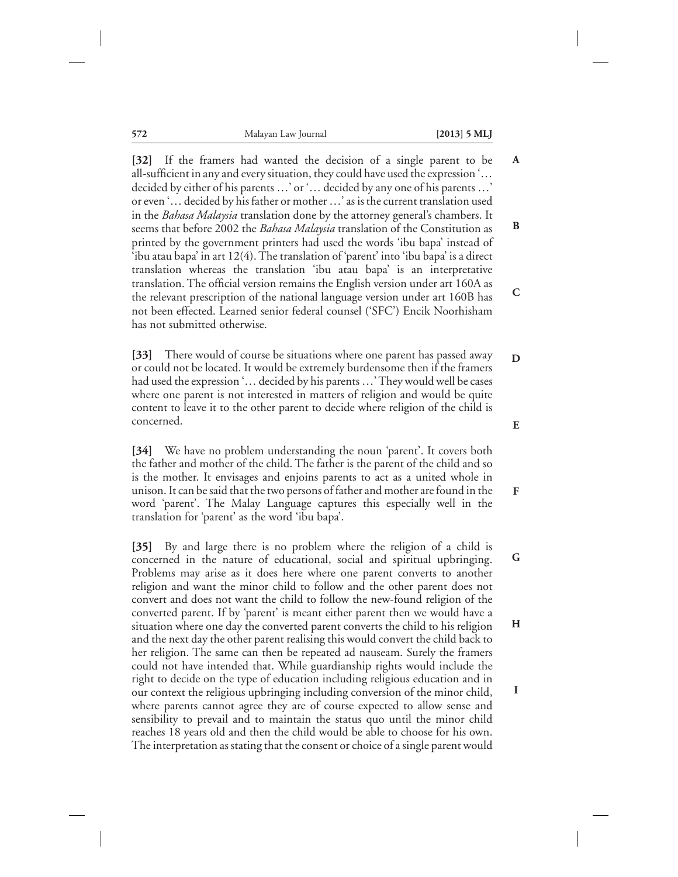**A**

**B**

**C**

**F**

**I**

**572** Malayan Law Journal **[2013] 5 MLJ**

**[32]** If the framers had wanted the decision of a single parent to be all-sufficient in any and every situation, they could have used the expression '… decided by either of his parents …' or '… decided by any one of his parents …' or even '… decided by his father or mother …' as is the current translation used in the *Bahasa Malaysia* translation done by the attorney general's chambers. It seems that before 2002 the *Bahasa Malaysia* translation of the Constitution as printed by the government printers had used the words 'ibu bapa' instead of 'ibu atau bapa' in art 12(4). The translation of 'parent' into 'ibu bapa' is a direct translation whereas the translation 'ibu atau bapa' is an interpretative translation. The official version remains the English version under art 160A as the relevant prescription of the national language version under art 160B has not been effected. Learned senior federal counsel ('SFC') Encik Noorhisham has not submitted otherwise.

**[33]** There would of course be situations where one parent has passed away or could not be located. It would be extremely burdensome then if the framers had used the expression '... decided by his parents ...' They would well be cases where one parent is not interested in matters of religion and would be quite content to leave it to the other parent to decide where religion of the child is concerned. **D E**

**[34]** We have no problem understanding the noun 'parent'. It covers both the father and mother of the child. The father is the parent of the child and so is the mother. It envisages and enjoins parents to act as a united whole in unison. It can be said that the two persons of father and mother are found in the word 'parent'. The Malay Language captures this especially well in the translation for 'parent' as the word 'ibu bapa'.

**[35]** By and large there is no problem where the religion of a child is concerned in the nature of educational, social and spiritual upbringing. Problems may arise as it does here where one parent converts to another religion and want the minor child to follow and the other parent does not convert and does not want the child to follow the new-found religion of the converted parent. If by 'parent' is meant either parent then we would have a situation where one day the converted parent converts the child to his religion and the next day the other parent realising this would convert the child back to her religion. The same can then be repeated ad nauseam. Surely the framers could not have intended that. While guardianship rights would include the right to decide on the type of education including religious education and in our context the religious upbringing including conversion of the minor child, where parents cannot agree they are of course expected to allow sense and sensibility to prevail and to maintain the status quo until the minor child reaches 18 years old and then the child would be able to choose for his own. The interpretation as stating that the consent or choice of a single parent would **G H**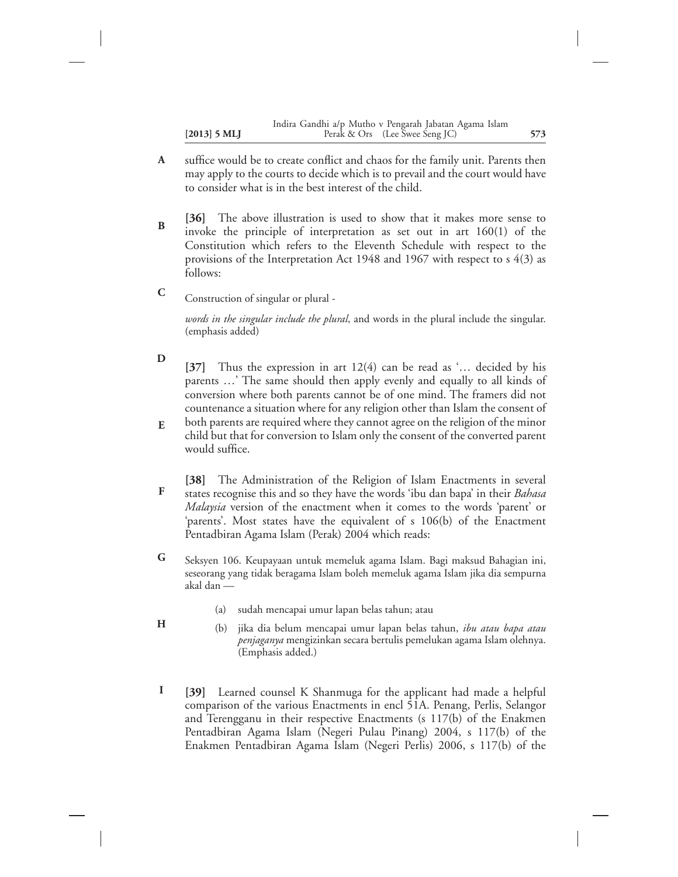- suffice would be to create conflict and chaos for the family unit. Parents then may apply to the courts to decide which is to prevail and the court would have to consider what is in the best interest of the child. **A**
- **[36]** The above illustration is used to show that it makes more sense to invoke the principle of interpretation as set out in art 160(1) of the Constitution which refers to the Eleventh Schedule with respect to the provisions of the Interpretation Act 1948 and 1967 with respect to s 4(3) as follows: **B**

Construction of singular or plural - **C**

> *words in the singular include the plural*, and words in the plural include the singular. (emphasis added)

- **[37]** Thus the expression in art 12(4) can be read as '… decided by his parents …' The same should then apply evenly and equally to all kinds of conversion where both parents cannot be of one mind. The framers did not countenance a situation where for any religion other than Islam the consent of **D**
- both parents are required where they cannot agree on the religion of the minor child but that for conversion to Islam only the consent of the converted parent would suffice. **E**
- **[38]** The Administration of the Religion of Islam Enactments in several states recognise this and so they have the words 'ibu dan bapa' in their *Bahasa Malaysia* version of the enactment when it comes to the words 'parent' or 'parents'. Most states have the equivalent of s 106(b) of the Enactment Pentadbiran Agama Islam (Perak) 2004 which reads: **F**
- Seksyen 106. Keupayaan untuk memeluk agama Islam. Bagi maksud Bahagian ini, seseorang yang tidak beragama Islam boleh memeluk agama Islam jika dia sempurna akal dan — **G**
	- (a) sudah mencapai umur lapan belas tahun; atau

**H**

- (b) jika dia belum mencapai umur lapan belas tahun, *ibu atau bapa atau penjaganya* mengizinkan secara bertulis pemelukan agama Islam olehnya. (Emphasis added.)
- **[39]** Learned counsel K Shanmuga for the applicant had made a helpful comparison of the various Enactments in encl 51A. Penang, Perlis, Selangor and Terengganu in their respective Enactments (s 117(b) of the Enakmen Pentadbiran Agama Islam (Negeri Pulau Pinang) 2004, s 117(b) of the Enakmen Pentadbiran Agama Islam (Negeri Perlis) 2006, s 117(b) of the **I**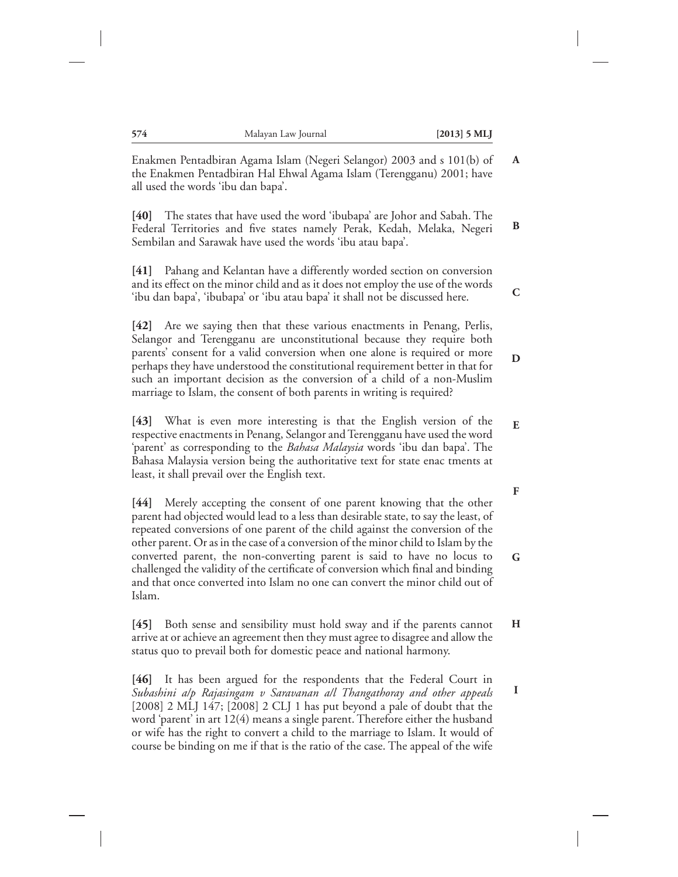**A**

**C**

**F**

**G**

**I**

Enakmen Pentadbiran Agama Islam (Negeri Selangor) 2003 and s 101(b) of the Enakmen Pentadbiran Hal Ehwal Agama Islam (Terengganu) 2001; have all used the words 'ibu dan bapa'.

**[40]** The states that have used the word 'ibubapa' are Johor and Sabah. The Federal Territories and five states namely Perak, Kedah, Melaka, Negeri Sembilan and Sarawak have used the words 'ibu atau bapa'. **B**

**[41]** Pahang and Kelantan have a differently worded section on conversion and its effect on the minor child and as it does not employ the use of the words 'ibu dan bapa', 'ibubapa' or 'ibu atau bapa' it shall not be discussed here.

**[42]** Are we saying then that these various enactments in Penang, Perlis, Selangor and Terengganu are unconstitutional because they require both parents' consent for a valid conversion when one alone is required or more perhaps they have understood the constitutional requirement better in that for such an important decision as the conversion of a child of a non-Muslim marriage to Islam, the consent of both parents in writing is required? **D**

**[43]** What is even more interesting is that the English version of the respective enactments in Penang, Selangor and Terengganu have used the word 'parent' as corresponding to the *Bahasa Malaysia* words 'ibu dan bapa'. The Bahasa Malaysia version being the authoritative text for state enac tments at least, it shall prevail over the English text. **E**

**[44]** Merely accepting the consent of one parent knowing that the other parent had objected would lead to a less than desirable state, to say the least, of repeated conversions of one parent of the child against the conversion of the other parent. Or as in the case of a conversion of the minor child to Islam by the converted parent, the non-converting parent is said to have no locus to challenged the validity of the certificate of conversion which final and binding and that once converted into Islam no one can convert the minor child out of Islam.

**[45]** Both sense and sensibility must hold sway and if the parents cannot arrive at or achieve an agreement then they must agree to disagree and allow the status quo to prevail both for domestic peace and national harmony. **H**

**[46]** It has been argued for the respondents that the Federal Court in *Subashini a/p Rajasingam v Saravanan a/l Thangathoray and other appeals* [2008] 2 MLJ 147; [2008] 2 CLJ 1 has put beyond a pale of doubt that the word 'parent' in art 12(4) means a single parent. Therefore either the husband or wife has the right to convert a child to the marriage to Islam. It would of course be binding on me if that is the ratio of the case. The appeal of the wife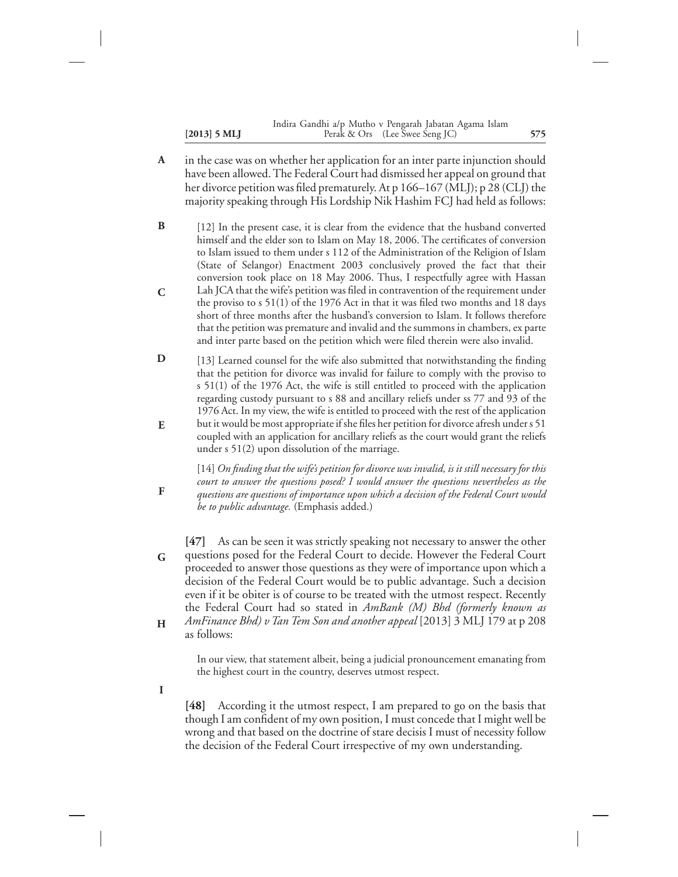|                | Indira Gandhi a/p Mutho v Pengarah Jabatan Agama Islam |     |
|----------------|--------------------------------------------------------|-----|
| $[2013]$ 5 MLJ | Perak & Ors (Lee Swee Seng JC)                         | 575 |

- in the case was on whether her application for an inter parte injunction should have been allowed. The Federal Court had dismissed her appeal on ground that her divorce petition was filed prematurely. At p 166–167 (MLJ); p 28 (CLJ) the majority speaking through His Lordship Nik Hashim FCJ had held as follows: **A**
- [12] In the present case, it is clear from the evidence that the husband converted himself and the elder son to Islam on May 18, 2006. The certificates of conversion to Islam issued to them under s 112 of the Administration of the Religion of Islam (State of Selangor) Enactment 2003 conclusively proved the fact that their conversion took place on 18 May 2006. Thus, I respectfully agree with Hassan Lah JCA that the wife's petition was filed in contravention of the requirement under the proviso to s 51(1) of the 1976 Act in that it was filed two months and 18 days short of three months after the husband's conversion to Islam. It follows therefore that the petition was premature and invalid and the summons in chambers, ex parte **B C**
- [13] Learned counsel for the wife also submitted that notwithstanding the finding that the petition for divorce was invalid for failure to comply with the proviso to s 51(1) of the 1976 Act, the wife is still entitled to proceed with the application regarding custody pursuant to s 88 and ancillary reliefs under ss 77 and 93 of the 1976 Act. In my view, the wife is entitled to proceed with the rest of the application **D**

and inter parte based on the petition which were filed therein were also invalid.

but it would be most appropriate if she files her petition for divorce afresh under s 51 coupled with an application for ancillary reliefs as the court would grant the reliefs under s 51(2) upon dissolution of the marriage. **E**

[14] *On finding that the wife's petition for divorce was invalid, is it still necessary for this court to answer the questions posed? I would answer the questions nevertheless as the questions are questions of importance upon which a decision of the Federal Court would be to public advantage.* (Emphasis added.)

- **[47]** As can be seen it was strictly speaking not necessary to answer the other questions posed for the Federal Court to decide. However the Federal Court proceeded to answer those questions as they were of importance upon which a decision of the Federal Court would be to public advantage. Such a decision even if it be obiter is of course to be treated with the utmost respect. Recently the Federal Court had so stated in *AmBank (M) Bhd (formerly known as AmFinance Bhd) v Tan Tem Son and another appeal* [2013] 3 MLJ 179 at p 208 **G H**
- as follows:

In our view, that statement albeit, being a judicial pronouncement emanating from the highest court in the country, deserves utmost respect.

**I**

**F**

**[48]** According it the utmost respect, I am prepared to go on the basis that though I am confident of my own position, I must concede that I might well be wrong and that based on the doctrine of stare decisis I must of necessity follow the decision of the Federal Court irrespective of my own understanding.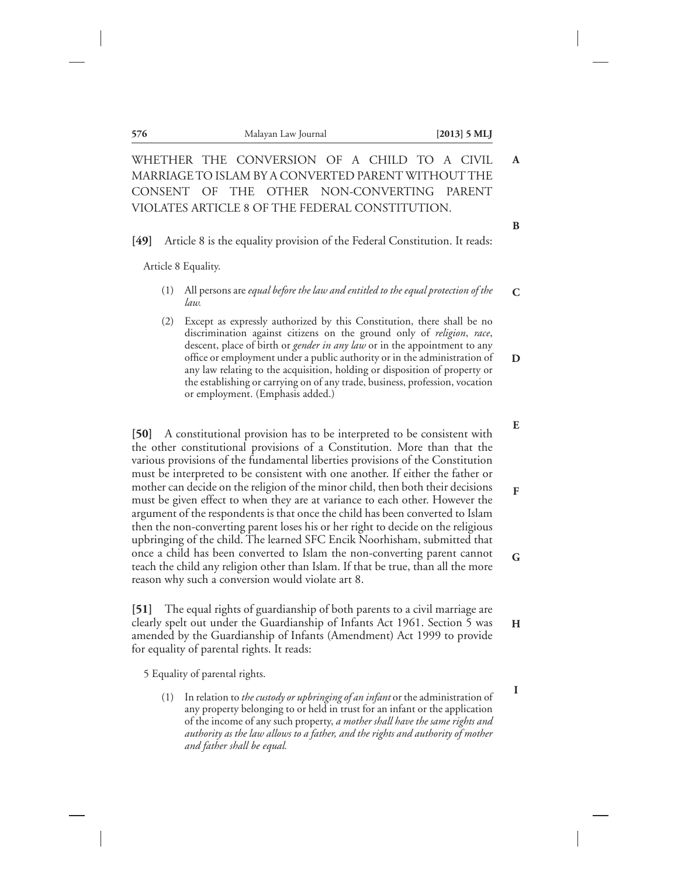| 576  | Malayan Law Journal                                                                      | $[2013]$ 5 MLI |
|------|------------------------------------------------------------------------------------------|----------------|
|      | WHETHER THE CONVERSION OF A CHILD TO A CIVIL                                             |                |
|      | MARRIAGE TO ISLAM BY A CONVERTED PARENT WITHOUT THE                                      |                |
|      | CONSENT OF THE OTHER NON-CONVERTING PARENT                                               |                |
|      | VIOLATES ARTICLE 8 OF THE FEDERAL CONSTITUTION.                                          |                |
| [49] | Article 8 is the equality provision of the Federal Constitution. It reads:               |                |
|      | Article 8 Equality.                                                                      |                |
| (1)  | All persons are equal before the law and entitled to the equal protection of the<br>law. |                |
| (2)  | Except as expressly authorized by this Constitution, there shall be no                   |                |

**I**

(2) Except as expressly authorized by this Constitution, there shall be no discrimination against citizens on the ground only of *religion*, *race*, descent, place of birth or *gender in any law* or in the appointment to any office or employment under a public authority or in the administration of any law relating to the acquisition, holding or disposition of property or the establishing or carrying on of any trade, business, profession, vocation or employment. (Emphasis added.) **D**

**[50]** A constitutional provision has to be interpreted to be consistent with the other constitutional provisions of a Constitution. More than that the various provisions of the fundamental liberties provisions of the Constitution must be interpreted to be consistent with one another. If either the father or mother can decide on the religion of the minor child, then both their decisions must be given effect to when they are at variance to each other. However the argument of the respondents is that once the child has been converted to Islam then the non-converting parent loses his or her right to decide on the religious upbringing of the child. The learned SFC Encik Noorhisham, submitted that once a child has been converted to Islam the non-converting parent cannot teach the child any religion other than Islam. If that be true, than all the more reason why such a conversion would violate art 8. **E F G**

**[51]** The equal rights of guardianship of both parents to a civil marriage are clearly spelt out under the Guardianship of Infants Act 1961. Section 5 was amended by the Guardianship of Infants (Amendment) Act 1999 to provide for equality of parental rights. It reads: **H**

5 Equality of parental rights.

(1) In relation to *the custody or upbringing of an infant* or the administration of any property belonging to or held in trust for an infant or the application of the income of any such property, *a mother shall have the same rights and authority as the law allows to a father, and the rights and authority of mother and father shall be equal.*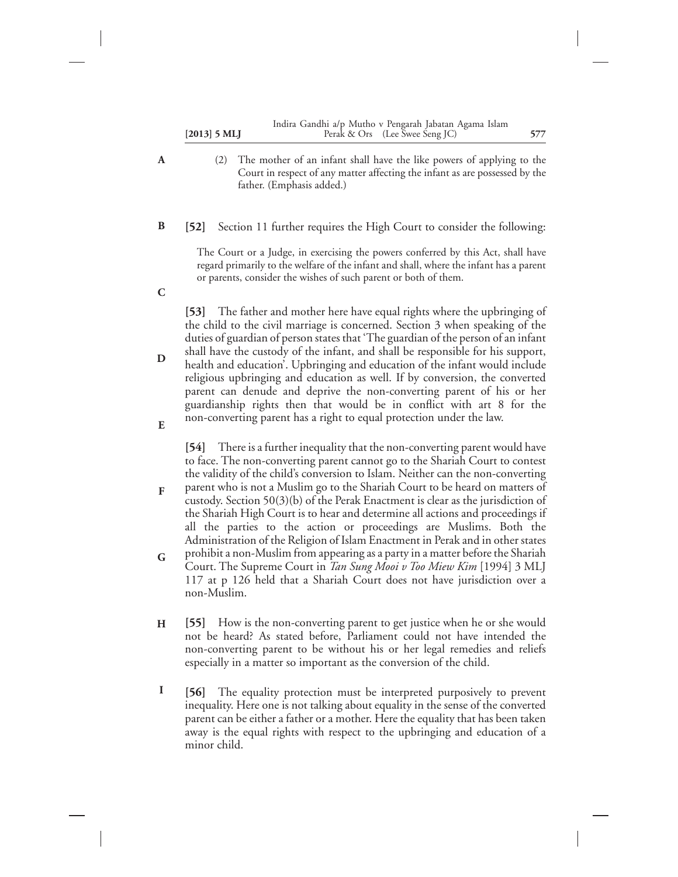| $[2013]$ 5 MLJ | Indira Gandhi a/p Mutho v Pengarah Jabatan Agama Islam<br>Perak & Ors (Lee Swee Seng JC) | 577 |
|----------------|------------------------------------------------------------------------------------------|-----|
|                |                                                                                          |     |

(2) The mother of an infant shall have the like powers of applying to the Court in respect of any matter affecting the infant as are possessed by the father. (Emphasis added.)

#### **[52]** Section 11 further requires the High Court to consider the following: **B**

**A**

**C**

**E**

The Court or a Judge, in exercising the powers conferred by this Act, shall have regard primarily to the welfare of the infant and shall, where the infant has a parent or parents, consider the wishes of such parent or both of them.

**[53]** The father and mother here have equal rights where the upbringing of the child to the civil marriage is concerned. Section 3 when speaking of the duties of guardian of person states that 'The guardian of the person of an infant shall have the custody of the infant, and shall be responsible for his support, health and education'. Upbringing and education of the infant would include religious upbringing and education as well. If by conversion, the converted parent can denude and deprive the non-converting parent of his or her guardianship rights then that would be in conflict with art 8 for the non-converting parent has a right to equal protection under the law. **D**

**[54]** There is a further inequality that the non-converting parent would have to face. The non-converting parent cannot go to the Shariah Court to contest the validity of the child's conversion to Islam. Neither can the non-converting

- parent who is not a Muslim go to the Shariah Court to be heard on matters of custody. Section 50(3)(b) of the Perak Enactment is clear as the jurisdiction of the Shariah High Court is to hear and determine all actions and proceedings if all the parties to the action or proceedings are Muslims. Both the Administration of the Religion of Islam Enactment in Perak and in other states **F**
- prohibit a non-Muslim from appearing as a party in a matter before the Shariah Court. The Supreme Court in *Tan Sung Mooi v Too Miew Kim* [1994] 3 MLJ 117 at p 126 held that a Shariah Court does not have jurisdiction over a non-Muslim. **G**
- **[55]** How is the non-converting parent to get justice when he or she would not be heard? As stated before, Parliament could not have intended the non-converting parent to be without his or her legal remedies and reliefs especially in a matter so important as the conversion of the child. **H**
- **[56]** The equality protection must be interpreted purposively to prevent inequality. Here one is not talking about equality in the sense of the converted parent can be either a father or a mother. Here the equality that has been taken away is the equal rights with respect to the upbringing and education of a minor child. **I**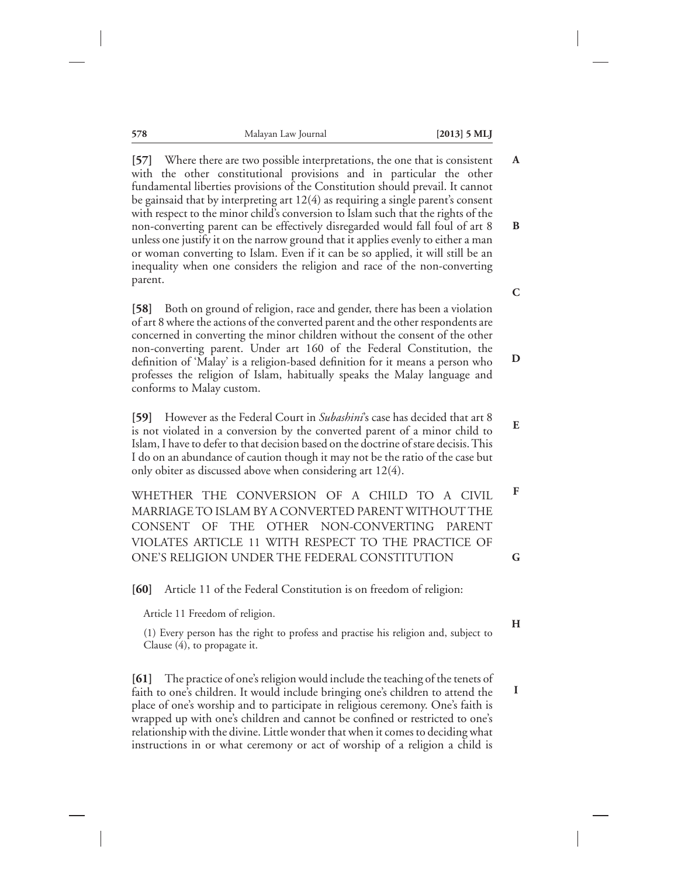**578** Malayan Law Journal **[2013] 5 MLJ**

**[57]** Where there are two possible interpretations, the one that is consistent with the other constitutional provisions and in particular the other fundamental liberties provisions of the Constitution should prevail. It cannot be gainsaid that by interpreting art 12(4) as requiring a single parent's consent with respect to the minor child's conversion to Islam such that the rights of the non-converting parent can be effectively disregarded would fall foul of art 8 unless one justify it on the narrow ground that it applies evenly to either a man or woman converting to Islam. Even if it can be so applied, it will still be an inequality when one considers the religion and race of the non-converting parent. **A B**

**[58]** Both on ground of religion, race and gender, there has been a violation of art 8 where the actions of the converted parent and the other respondents are concerned in converting the minor children without the consent of the other non-converting parent. Under art 160 of the Federal Constitution, the definition of 'Malay' is a religion-based definition for it means a person who professes the religion of Islam, habitually speaks the Malay language and conforms to Malay custom.

**[59]** However as the Federal Court in *Subashini*'s case has decided that art 8 is not violated in a conversion by the converted parent of a minor child to Islam, I have to defer to that decision based on the doctrine of stare decisis. This I do on an abundance of caution though it may not be the ratio of the case but only obiter as discussed above when considering art 12(4). **E**

WHETHER THE CONVERSION OF A CHILD TO A CIVIL MARRIAGE TO ISLAM BY A CONVERTED PARENT WITHOUT THE CONSENT OF THE OTHER NON-CONVERTING PARENT VIOLATES ARTICLE 11 WITH RESPECT TO THE PRACTICE OF ONE'S RELIGION UNDER THE FEDERAL CONSTITUTION **F**

**[60]** Article 11 of the Federal Constitution is on freedom of religion:

Article 11 Freedom of religion.

(1) Every person has the right to profess and practise his religion and, subject to Clause (4), to propagate it.

**[61]** The practice of one's religion would include the teaching of the tenets of faith to one's children. It would include bringing one's children to attend the place of one's worship and to participate in religious ceremony. One's faith is wrapped up with one's children and cannot be confined or restricted to one's relationship with the divine. Little wonder that when it comes to deciding what instructions in or what ceremony or act of worship of a religion a child is

**C**

**D**

**G**

**H**

**I**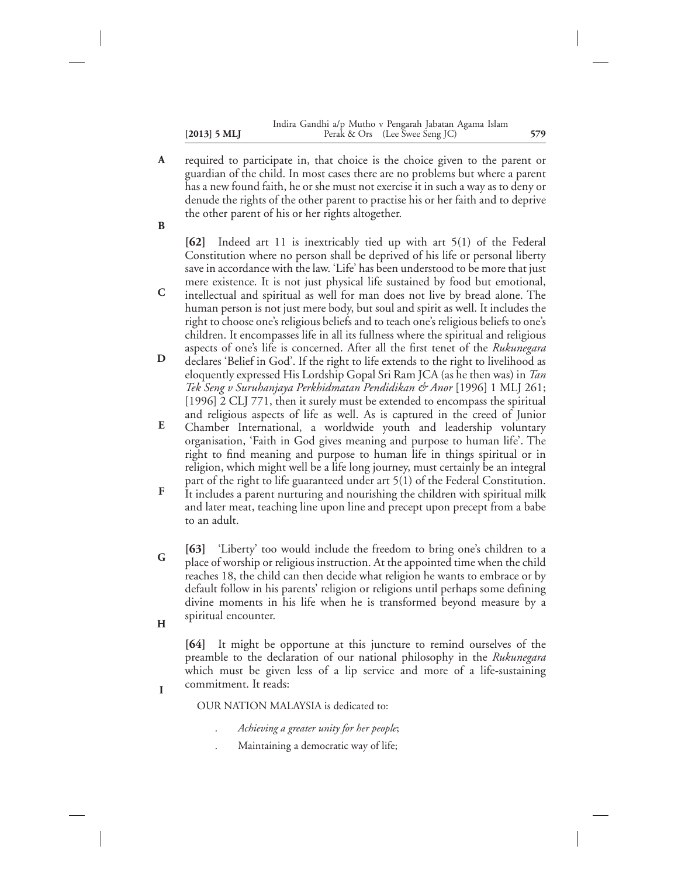- required to participate in, that choice is the choice given to the parent or guardian of the child. In most cases there are no problems but where a parent has a new found faith, he or she must not exercise it in such a way as to deny or denude the rights of the other parent to practise his or her faith and to deprive the other parent of his or her rights altogether. **A**
- **B**

**[62]** Indeed art 11 is inextricably tied up with art 5(1) of the Federal Constitution where no person shall be deprived of his life or personal liberty save in accordance with the law. 'Life' has been understood to be more that just mere existence. It is not just physical life sustained by food but emotional,

- intellectual and spiritual as well for man does not live by bread alone. The human person is not just mere body, but soul and spirit as well. It includes the right to choose one's religious beliefs and to teach one's religious beliefs to one's children. It encompasses life in all its fullness where the spiritual and religious aspects of one's life is concerned. After all the first tenet of the *Rukunegara* **C**
- declares 'Belief in God'. If the right to life extends to the right to livelihood as eloquently expressed His Lordship Gopal Sri Ram JCA (as he then was) in *Tan Tek Seng v Suruhanjaya Perkhidmatan Pendidikan & Anor* [1996] 1 MLJ 261; [1996] 2 CLJ 771, then it surely must be extended to encompass the spiritual and religious aspects of life as well. As is captured in the creed of Junior **D**
- Chamber International, a worldwide youth and leadership voluntary organisation, 'Faith in God gives meaning and purpose to human life'. The right to find meaning and purpose to human life in things spiritual or in religion, which might well be a life long journey, must certainly be an integral part of the right to life guaranteed under art 5(1) of the Federal Constitution. **E**
- It includes a parent nurturing and nourishing the children with spiritual milk and later meat, teaching line upon line and precept upon precept from a babe to an adult. **F**
- **[63]** 'Liberty' too would include the freedom to bring one's children to a place of worship or religious instruction. At the appointed time when the child reaches 18, the child can then decide what religion he wants to embrace or by default follow in his parents' religion or religions until perhaps some defining divine moments in his life when he is transformed beyond measure by a spiritual encounter. **G**
- **H**

**I**

**[64]** It might be opportune at this juncture to remind ourselves of the preamble to the declaration of our national philosophy in the *Rukunegara* which must be given less of a lip service and more of a life-sustaining commitment. It reads:

OUR NATION MALAYSIA is dedicated to:

- . *Achieving a greater unity for her people*;
- . Maintaining a democratic way of life;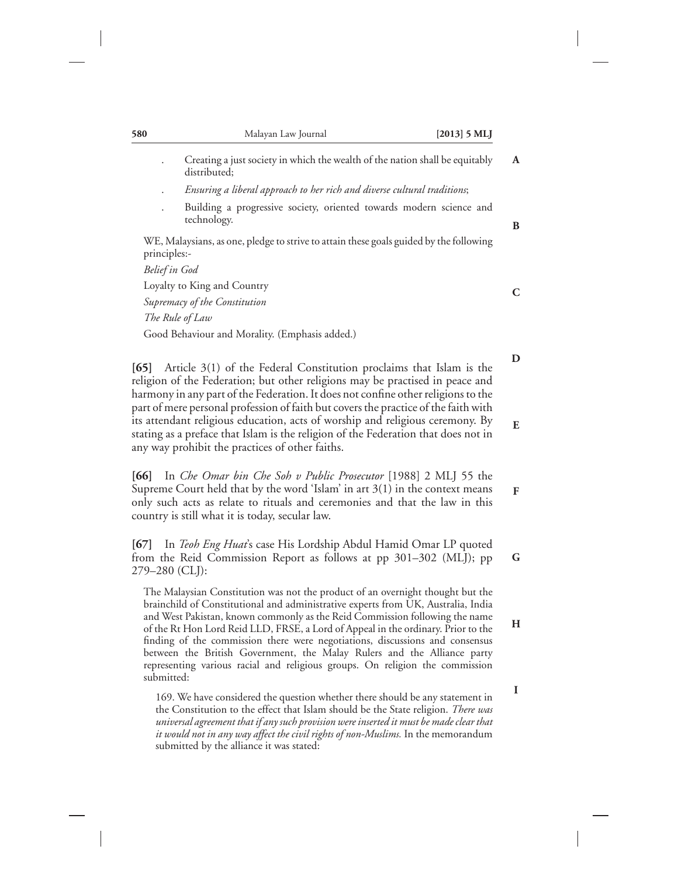| 580           | Malayan Law Journal                                                                          | $[2013]$ 5 MLJ |
|---------------|----------------------------------------------------------------------------------------------|----------------|
|               | Creating a just society in which the wealth of the nation shall be equitably<br>distributed: | $\mathbf{A}$   |
|               | Ensuring a liberal approach to her rich and diverse cultural traditions;                     |                |
|               | Building a progressive society, oriented towards modern science and<br>technology.           |                |
| principles:-  | WE, Malaysians, as one, pledge to strive to attain these goals guided by the following       |                |
| Belief in God |                                                                                              |                |
|               | Loyalty to King and Country                                                                  |                |
|               | Supremacy of the Constitution                                                                |                |
|               | The Rule of Law                                                                              |                |
|               | Good Behaviour and Morality. (Emphasis added.)                                               |                |

**[65]** Article 3(1) of the Federal Constitution proclaims that Islam is the religion of the Federation; but other religions may be practised in peace and harmony in any part of the Federation. It does not confine other religions to the part of mere personal profession of faith but covers the practice of the faith with its attendant religious education, acts of worship and religious ceremony. By stating as a preface that Islam is the religion of the Federation that does not in any way prohibit the practices of other faiths.

**D**

**E**

**F**

**H**

**I**

**[66]** In *Che Omar bin Che Soh v Public Prosecutor* [1988] 2 MLJ 55 the Supreme Court held that by the word 'Islam' in art 3(1) in the context means only such acts as relate to rituals and ceremonies and that the law in this country is still what it is today, secular law.

**[67]** In *Teoh Eng Huat*'s case His Lordship Abdul Hamid Omar LP quoted from the Reid Commission Report as follows at pp 301–302 (MLJ); pp 279–280 (CLJ): **G**

The Malaysian Constitution was not the product of an overnight thought but the brainchild of Constitutional and administrative experts from UK, Australia, India and West Pakistan, known commonly as the Reid Commission following the name of the Rt Hon Lord Reid LLD, FRSE, a Lord of Appeal in the ordinary. Prior to the finding of the commission there were negotiations, discussions and consensus between the British Government, the Malay Rulers and the Alliance party representing various racial and religious groups. On religion the commission submitted:

169. We have considered the question whether there should be any statement in the Constitution to the effect that Islam should be the State religion. *There was universal agreement that if any such provision were inserted it must be made clear that it would not in any way affect the civil rights of non-Muslims.* In the memorandum submitted by the alliance it was stated: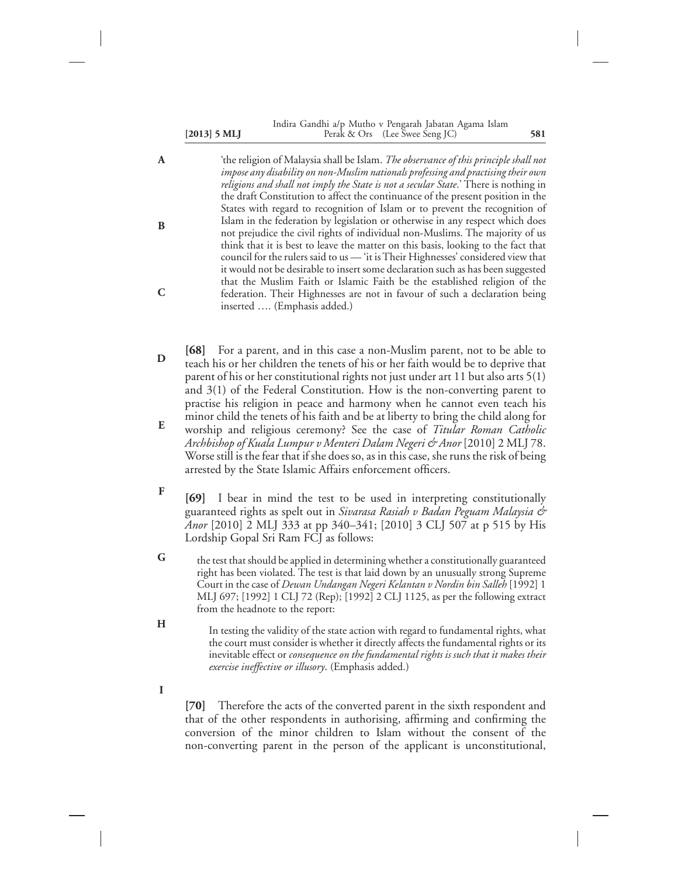#### **[2013] 5 MLJ 581** Perak & Ors (Lee Swee Seng JC) Indira Gandhi a/p Mutho v Pengarah Jabatan Agama Islam

'the religion of Malaysia shall be Islam. *The observance of this principle shall not impose any disability on non-Muslim nationals professing and practising their own religions and shall not imply the State is not a secular State*.' There is nothing in the draft Constitution to affect the continuance of the present position in the States with regard to recognition of Islam or to prevent the recognition of Islam in the federation by legislation or otherwise in any respect which does not prejudice the civil rights of individual non-Muslims. The majority of us think that it is best to leave the matter on this basis, looking to the fact that council for the rulers said to us — 'it is Their Highnesses' considered view that it would not be desirable to insert some declaration such as has been suggested that the Muslim Faith or Islamic Faith be the established religion of the federation. Their Highnesses are not in favour of such a declaration being inserted …. (Emphasis added.) **A B C**

- **[68]** For a parent, and in this case a non-Muslim parent, not to be able to teach his or her children the tenets of his or her faith would be to deprive that parent of his or her constitutional rights not just under art 11 but also arts 5(1) and 3(1) of the Federal Constitution. How is the non-converting parent to practise his religion in peace and harmony when he cannot even teach his minor child the tenets of his faith and be at liberty to bring the child along for worship and religious ceremony? See the case of *Titular Roman Catholic Archbishop of Kuala Lumpur v Menteri Dalam Negeri & Anor* [2010] 2 MLJ 78. Worse still is the fear that if she does so, as in this case, she runs the risk of being arrested by the State Islamic Affairs enforcement officers. **D E**
- **[69]** I bear in mind the test to be used in interpreting constitutionally guaranteed rights as spelt out in *Sivarasa Rasiah v Badan Peguam Malaysia & Anor* [2010] 2 MLJ 333 at pp 340–341; [2010] 3 CLJ 507 at p 515 by His Lordship Gopal Sri Ram FCJ as follows: **F**
- the test that should be applied in determining whether a constitutionally guaranteed right has been violated. The test is that laid down by an unusually strong Supreme Court in the case of *Dewan Undangan Negeri Kelantan v Nordin bin Salleh* [1992] 1 MLJ 697; [1992] 1 CLJ 72 (Rep); [1992] 2 CLJ 1125, as per the following extract from the headnote to the report: **G**
- In testing the validity of the state action with regard to fundamental rights, what the court must consider is whether it directly affects the fundamental rights or its inevitable effect or *consequence on the fundamental rights is such that it makes their exercise ineffective or illusory*. (Emphasis added.) **H**
- **I**

**[70]** Therefore the acts of the converted parent in the sixth respondent and that of the other respondents in authorising, affirming and confirming the conversion of the minor children to Islam without the consent of the non-converting parent in the person of the applicant is unconstitutional,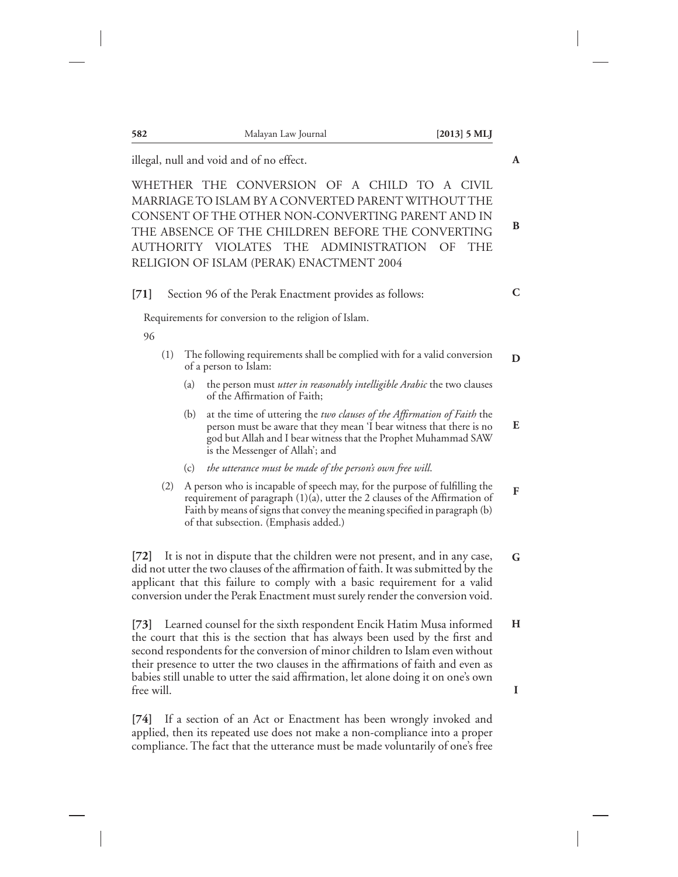| 582        | Malayan Law Journal                                                                                                                                                                                                                                                                                                                                                                                                 | $[2013]$ 5 MLJ |
|------------|---------------------------------------------------------------------------------------------------------------------------------------------------------------------------------------------------------------------------------------------------------------------------------------------------------------------------------------------------------------------------------------------------------------------|----------------|
|            | illegal, null and void and of no effect.                                                                                                                                                                                                                                                                                                                                                                            |                |
|            | WHETHER THE CONVERSION OF A CHILD TO A CIVIL<br>MARRIAGE TO ISLAM BY A CONVERTED PARENT WITHOUT THE<br>CONSENT OF THE OTHER NON-CONVERTING PARENT AND IN<br>THE ABSENCE OF THE CHILDREN BEFORE THE CONVERTING<br>AUTHORITY VIOLATES THE ADMINISTRATION<br>RELIGION OF ISLAM (PERAK) ENACTMENT 2004                                                                                                                  | OF<br>THE      |
| $[71]$     | Section 96 of the Perak Enactment provides as follows:                                                                                                                                                                                                                                                                                                                                                              |                |
|            | Requirements for conversion to the religion of Islam.                                                                                                                                                                                                                                                                                                                                                               |                |
| 96         |                                                                                                                                                                                                                                                                                                                                                                                                                     |                |
| (1)        | The following requirements shall be complied with for a valid conversion<br>of a person to Islam:                                                                                                                                                                                                                                                                                                                   |                |
|            | the person must utter in reasonably intelligible Arabic the two clauses<br>(a)<br>of the Affirmation of Faith;                                                                                                                                                                                                                                                                                                      |                |
|            | at the time of uttering the two clauses of the Affirmation of Faith the<br>(b)<br>person must be aware that they mean 'I bear witness that there is no<br>god but Allah and I bear witness that the Prophet Muhammad SAW<br>is the Messenger of Allah'; and                                                                                                                                                         |                |
|            | the utterance must be made of the person's own free will.<br>(c)                                                                                                                                                                                                                                                                                                                                                    |                |
| (2)        | A person who is incapable of speech may, for the purpose of fulfilling the<br>requirement of paragraph (1)(a), utter the 2 clauses of the Affirmation of<br>Faith by means of signs that convey the meaning specified in paragraph (b)<br>of that subsection. (Emphasis added.)                                                                                                                                     |                |
| 72         | It is not in dispute that the children were not present, and in any case,<br>did not utter the two clauses of the affirmation of faith. It was submitted by the<br>applicant that this failure to comply with a basic requirement for a valid<br>conversion under the Perak Enactment must surely render the conversion void.                                                                                       |                |
|            | [73] Learned counsel for the sixth respondent Encik Hatim Musa informed<br>the court that this is the section that has always been used by the first and<br>second respondents for the conversion of minor children to Islam even without<br>their presence to utter the two clauses in the affirmations of faith and even as<br>babies still unable to utter the said affirmation, let alone doing it on one's own |                |
| free will. |                                                                                                                                                                                                                                                                                                                                                                                                                     |                |
| [74]       | If a section of an Act or Enactment has been wrongly invoked and<br>applied, then its repeated use does not make a non-compliance into a proper                                                                                                                                                                                                                                                                     |                |

compliance. The fact that the utterance must be made voluntarily of one's free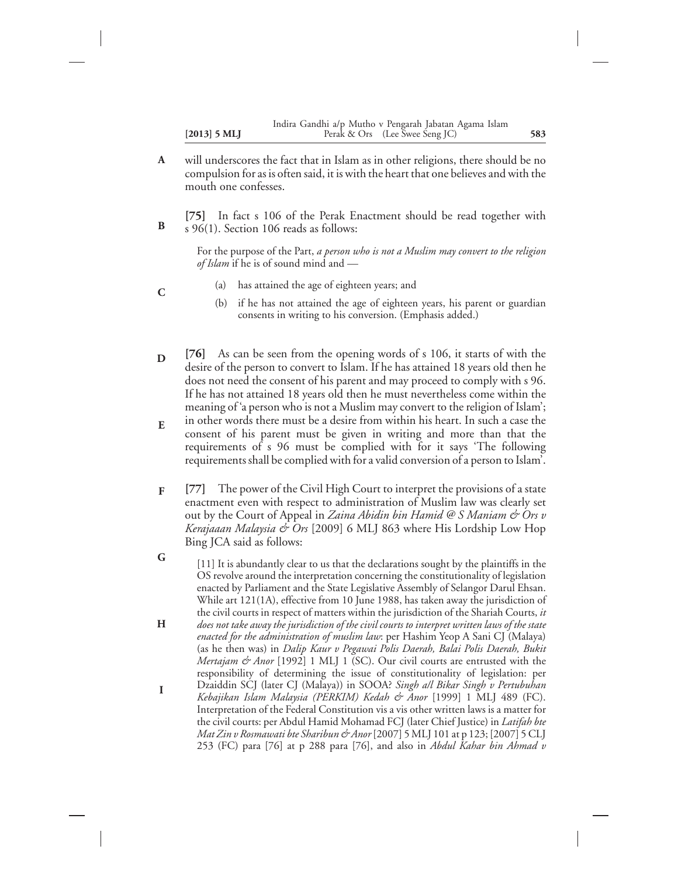- will underscores the fact that in Islam as in other religions, there should be no compulsion for as is often said, it is with the heart that one believes and with the mouth one confesses. **A**
- **[75]** In fact s 106 of the Perak Enactment should be read together with s 96(1). Section 106 reads as follows: **B**

For the purpose of the Part, *a person who is not a Muslim may convert to the religion of Islam* if he is of sound mind and —

- (a) has attained the age of eighteen years; and
- (b) if he has not attained the age of eighteen years, his parent or guardian consents in writing to his conversion. (Emphasis added.)
- **[76]** As can be seen from the opening words of s 106, it starts of with the desire of the person to convert to Islam. If he has attained 18 years old then he does not need the consent of his parent and may proceed to comply with s 96. If he has not attained 18 years old then he must nevertheless come within the meaning of 'a person who is not a Muslim may convert to the religion of Islam'; **D**
- in other words there must be a desire from within his heart. In such a case the consent of his parent must be given in writing and more than that the requirements of s 96 must be complied with for it says 'The following requirements shall be complied with for a valid conversion of a person to Islam'. **E**
- **[77]** The power of the Civil High Court to interpret the provisions of a state enactment even with respect to administration of Muslim law was clearly set out by the Court of Appeal in *Zaina Abidin bin Hamid @ S Maniam & Ors v Kerajaaan Malaysia & Ors* [2009] 6 MLJ 863 where His Lordship Low Hop Bing JCA said as follows: **F**
- [11] It is abundantly clear to us that the declarations sought by the plaintiffs in the OS revolve around the interpretation concerning the constitutionality of legislation enacted by Parliament and the State Legislative Assembly of Selangor Darul Ehsan. While art 121(1A), effective from 10 June 1988, has taken away the jurisdiction of the civil courts in respect of matters within the jurisdiction of the Shariah Courts, *it does not take away the jurisdiction of the civil courts to interpret written laws of the state enacted for the administration of muslim law*: per Hashim Yeop A Sani CJ (Malaya) (as he then was) in *Dalip Kaur v Pegawai Polis Daerah, Balai Polis Daerah, Bukit Mertajam & Anor* [1992] 1 MLJ 1 (SC). Our civil courts are entrusted with the responsibility of determining the issue of constitutionality of legislation: per Dzaiddin SCJ (later CJ (Malaya)) in SOOA? *Singh a/l Bikar Singh v Pertubuhan Kebajikan Islam Malaysia (PERKIM) Kedah & Anor* [1999] 1 MLJ 489 (FC). Interpretation of the Federal Constitution vis a vis other written laws is a matter for the civil courts: per Abdul Hamid Mohamad FCJ (later Chief Justice) in *Latifah bte Mat Zin v Rosmawati bte Sharibun & Anor*[2007] 5 MLJ 101 at p 123; [2007] 5 CLJ 253 (FC) para [76] at p 288 para [76], and also in *Abdul Kahar bin Ahmad v* **G H I**

**C**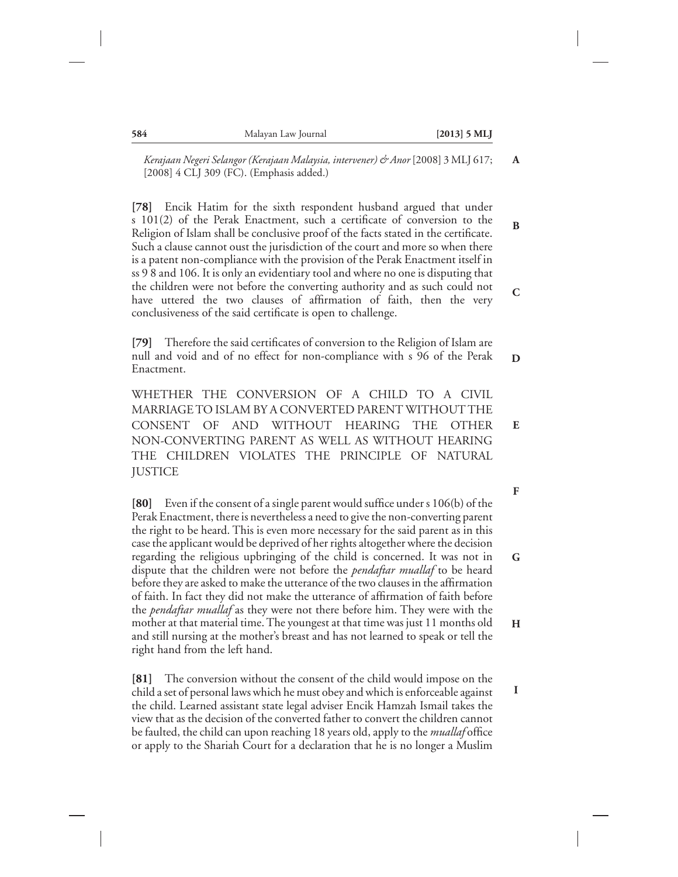*Kerajaan Negeri Selangor (Kerajaan Malaysia, intervener) & Anor* [2008] 3 MLJ 617; [2008] 4 CLJ 309 (FC). (Emphasis added.)

**[78]** Encik Hatim for the sixth respondent husband argued that under s 101(2) of the Perak Enactment, such a certificate of conversion to the Religion of Islam shall be conclusive proof of the facts stated in the certificate. Such a clause cannot oust the jurisdiction of the court and more so when there is a patent non-compliance with the provision of the Perak Enactment itself in ss 9 8 and 106. It is only an evidentiary tool and where no one is disputing that the children were not before the converting authority and as such could not have uttered the two clauses of affirmation of faith, then the very conclusiveness of the said certificate is open to challenge.

**[79]** Therefore the said certificates of conversion to the Religion of Islam are null and void and of no effect for non-compliance with s 96 of the Perak Enactment. **D**

WHETHER THE CONVERSION OF A CHILD TO A CIVIL MARRIAGE TO ISLAM BY A CONVERTED PARENT WITHOUT THE CONSENT OF AND WITHOUT HEARING THE OTHER NON-CONVERTING PARENT AS WELL AS WITHOUT HEARING THE CHILDREN VIOLATES THE PRINCIPLE OF NATURAL JUSTICE **E**

**[80]** Even if the consent of a single parent would suffice under s 106(b) of the Perak Enactment, there is nevertheless a need to give the non-converting parent the right to be heard. This is even more necessary for the said parent as in this case the applicant would be deprived of her rights altogether where the decision regarding the religious upbringing of the child is concerned. It was not in dispute that the children were not before the *pendaftar muallaf* to be heard before they are asked to make the utterance of the two clauses in the affirmation of faith. In fact they did not make the utterance of affirmation of faith before the *pendaftar muallaf* as they were not there before him. They were with the mother at that material time. The youngest at that time was just 11 months old and still nursing at the mother's breast and has not learned to speak or tell the right hand from the left hand. **G H**

**[81]** The conversion without the consent of the child would impose on the child a set of personal laws which he must obey and which is enforceable against the child. Learned assistant state legal adviser Encik Hamzah Ismail takes the view that as the decision of the converted father to convert the children cannot be faulted, the child can upon reaching 18 years old, apply to the *muallaf* office or apply to the Shariah Court for a declaration that he is no longer a Muslim

**F**

**A**

**B**

**C**

**I**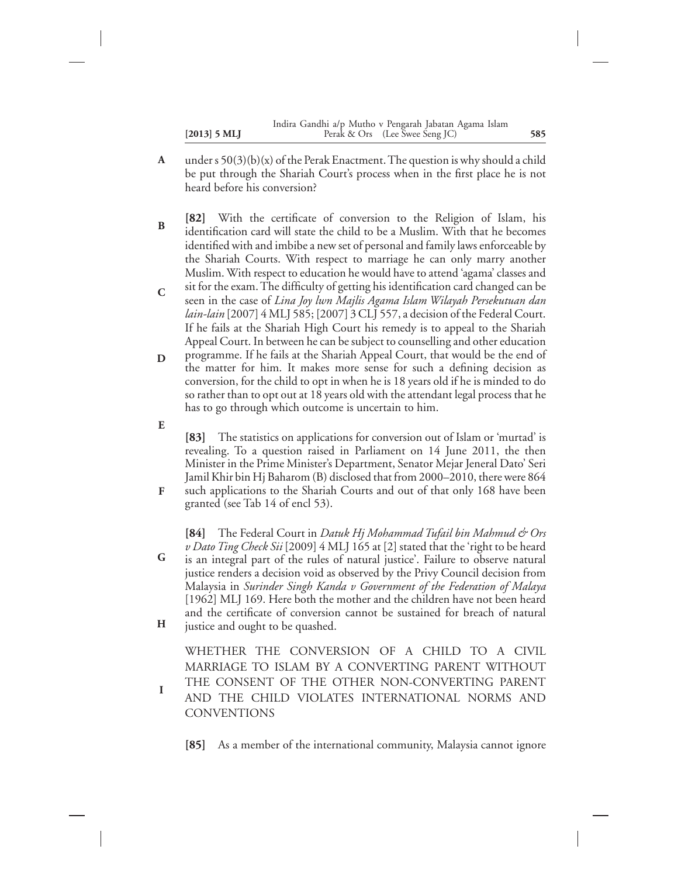- under s  $50(3)(b)(x)$  of the Perak Enactment. The question is why should a child be put through the Shariah Court's process when in the first place he is not heard before his conversion? **A**
- **[82]** With the certificate of conversion to the Religion of Islam, his identification card will state the child to be a Muslim. With that he becomes identified with and imbibe a new set of personal and family laws enforceable by the Shariah Courts. With respect to marriage he can only marry another Muslim. With respect to education he would have to attend 'agama' classes and **B**
- sit for the exam. The difficulty of getting his identification card changed can be seen in the case of *Lina Joy lwn Majlis Agama Islam Wilayah Persekutuan dan lain-lain* [2007] 4 MLJ 585; [2007] 3 CLJ 557, a decision of the Federal Court. If he fails at the Shariah High Court his remedy is to appeal to the Shariah Appeal Court. In between he can be subject to counselling and other education **C**
- programme. If he fails at the Shariah Appeal Court, that would be the end of the matter for him. It makes more sense for such a defining decision as conversion, for the child to opt in when he is 18 years old if he is minded to do so rather than to opt out at 18 years old with the attendant legal process that he has to go through which outcome is uncertain to him. **D**
- **E**

**I**

**[83]** The statistics on applications for conversion out of Islam or 'murtad' is revealing. To a question raised in Parliament on 14 June 2011, the then Minister in the Prime Minister's Department, Senator Mejar Jeneral Dato' Seri Jamil Khir bin Hj Baharom (B) disclosed that from 2000–2010, there were 864

such applications to the Shariah Courts and out of that only 168 have been granted (see Tab 14 of encl 53). **F**

**[84]** The Federal Court in *Datuk Hj Mohammad Tufail bin Mahmud & Ors v Dato Ting Check Sii* [2009] 4 MLJ 165 at [2] stated that the 'right to be heard is an integral part of the rules of natural justice'. Failure to observe natural justice renders a decision void as observed by the Privy Council decision from Malaysia in *Surinder Singh Kanda v Government of the Federation of Malaya* [1962] MLJ 169. Here both the mother and the children have not been heard and the certificate of conversion cannot be sustained for breach of natural justice and ought to be quashed. **G H**

WHETHER THE CONVERSION OF A CHILD TO A CIVIL MARRIAGE TO ISLAM BY A CONVERTING PARENT WITHOUT THE CONSENT OF THE OTHER NON-CONVERTING PARENT AND THE CHILD VIOLATES INTERNATIONAL NORMS AND **CONVENTIONS** 

**[85]** As a member of the international community, Malaysia cannot ignore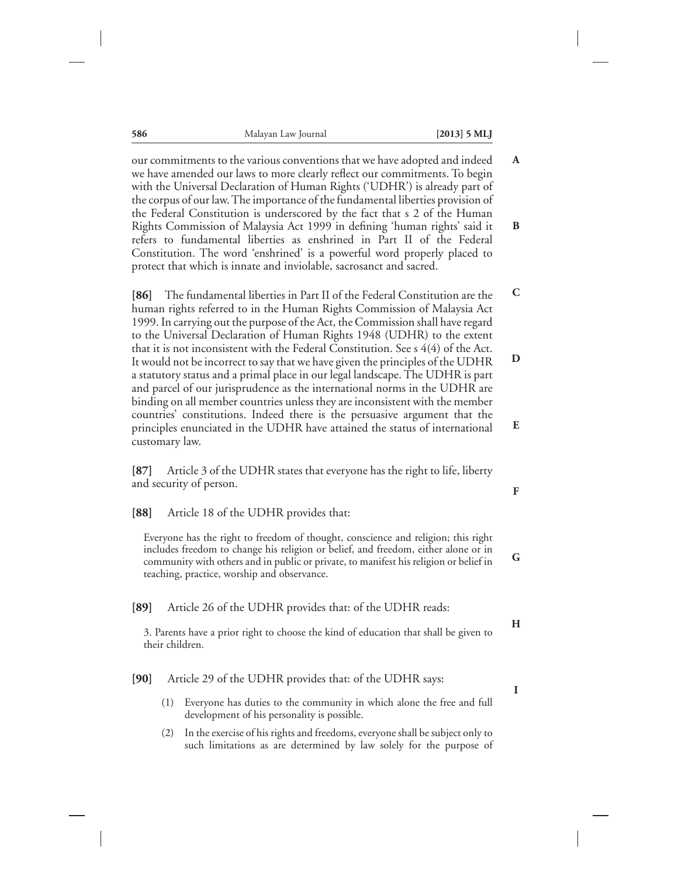| 586                   | Malayan Law Journal                                                                                                                                                                                                                                                                                                                                                                                                                                                                                                                                                                                                                                                                                                                                                                                                                                                                                   | $[2013]$ 5 MLJ |
|-----------------------|-------------------------------------------------------------------------------------------------------------------------------------------------------------------------------------------------------------------------------------------------------------------------------------------------------------------------------------------------------------------------------------------------------------------------------------------------------------------------------------------------------------------------------------------------------------------------------------------------------------------------------------------------------------------------------------------------------------------------------------------------------------------------------------------------------------------------------------------------------------------------------------------------------|----------------|
|                       | our commitments to the various conventions that we have adopted and indeed<br>we have amended our laws to more clearly reflect our commitments. To begin<br>with the Universal Declaration of Human Rights ('UDHR') is already part of<br>the corpus of our law. The importance of the fundamental liberties provision of<br>the Federal Constitution is underscored by the fact that s 2 of the Human<br>Rights Commission of Malaysia Act 1999 in defining 'human rights' said it<br>refers to fundamental liberties as enshrined in Part II of the Federal<br>Constitution. The word 'enshrined' is a powerful word properly placed to<br>protect that which is innate and inviolable, sacrosanct and sacred.                                                                                                                                                                                      |                |
| 86 <br>customary law. | The fundamental liberties in Part II of the Federal Constitution are the<br>human rights referred to in the Human Rights Commission of Malaysia Act<br>1999. In carrying out the purpose of the Act, the Commission shall have regard<br>to the Universal Declaration of Human Rights 1948 (UDHR) to the extent<br>that it is not inconsistent with the Federal Constitution. See $s$ 4(4) of the Act.<br>It would not be incorrect to say that we have given the principles of the UDHR<br>a statutory status and a primal place in our legal landscape. The UDHR is part<br>and parcel of our jurisprudence as the international norms in the UDHR are<br>binding on all member countries unless they are inconsistent with the member<br>countries' constitutions. Indeed there is the persuasive argument that the<br>principles enunciated in the UDHR have attained the status of international |                |
| [87]                  | Article 3 of the UDHR states that everyone has the right to life, liberty<br>and security of person.                                                                                                                                                                                                                                                                                                                                                                                                                                                                                                                                                                                                                                                                                                                                                                                                  |                |
| [88]                  | Article 18 of the UDHR provides that:                                                                                                                                                                                                                                                                                                                                                                                                                                                                                                                                                                                                                                                                                                                                                                                                                                                                 |                |
|                       | Everyone has the right to freedom of thought, conscience and religion; this right<br>includes freedom to change his religion or belief, and freedom, either alone or in<br>community with others and in public or private, to manifest his religion or belief in<br>teaching, practice, worship and observance.                                                                                                                                                                                                                                                                                                                                                                                                                                                                                                                                                                                       |                |
| [89]                  | Article 26 of the UDHR provides that: of the UDHR reads:                                                                                                                                                                                                                                                                                                                                                                                                                                                                                                                                                                                                                                                                                                                                                                                                                                              |                |
| their children.       | 3. Parents have a prior right to choose the kind of education that shall be given to                                                                                                                                                                                                                                                                                                                                                                                                                                                                                                                                                                                                                                                                                                                                                                                                                  |                |
| [90]                  | Article 29 of the UDHR provides that: of the UDHR says:                                                                                                                                                                                                                                                                                                                                                                                                                                                                                                                                                                                                                                                                                                                                                                                                                                               |                |
| (1)                   | Everyone has duties to the community in which alone the free and full<br>development of his personality is possible.                                                                                                                                                                                                                                                                                                                                                                                                                                                                                                                                                                                                                                                                                                                                                                                  |                |
| (2)                   | In the exercise of his rights and freedoms, everyone shall be subject only to<br>such limitations as are determined by law solely for the purpose of                                                                                                                                                                                                                                                                                                                                                                                                                                                                                                                                                                                                                                                                                                                                                  |                |

**A**

**B**

**C**

**D**

**E**

**F**

**G**

**H**

**I**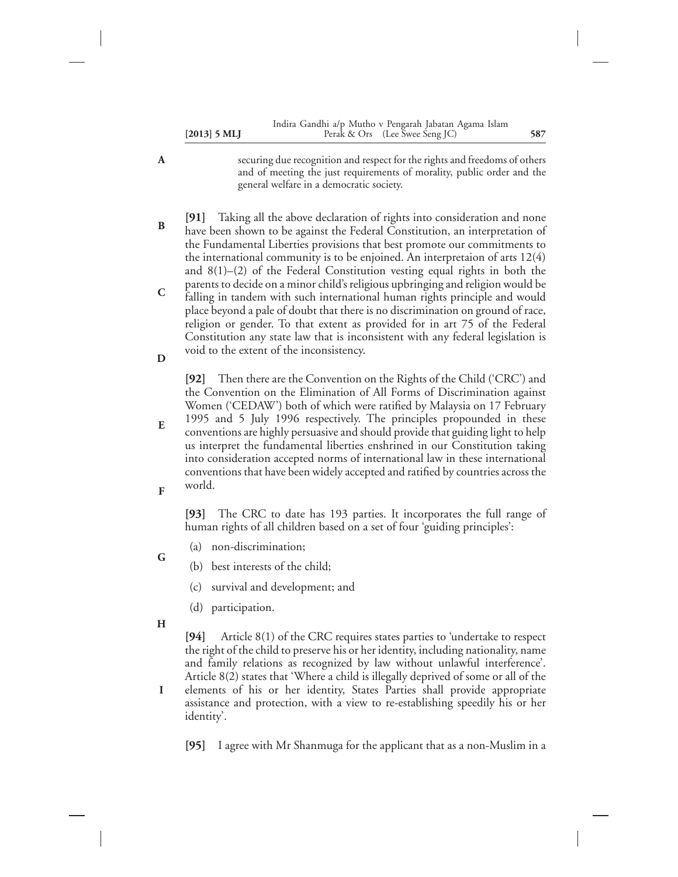|                | Indira Gandhi a/p Mutho v Pengarah Jabatan Agama Islam |     |
|----------------|--------------------------------------------------------|-----|
| $[2013]$ 5 MLJ | Perak & Ors (Lee Swee Seng JC)                         | 587 |

- securing due recognition and respect for the rights and freedoms of others and of meeting the just requirements of morality, public order and the general welfare in a democratic society.
- **[91]** Taking all the above declaration of rights into consideration and none have been shown to be against the Federal Constitution, an interpretation of the Fundamental Liberties provisions that best promote our commitments to the international community is to be enjoined. An interpretaion of arts 12(4) and 8(1)–(2) of the Federal Constitution vesting equal rights in both the parents to decide on a minor child's religious upbringing and religion would be falling in tandem with such international human rights principle and would place beyond a pale of doubt that there is no discrimination on ground of race, religion or gender. To that extent as provided for in art 75 of the Federal Constitution any state law that is inconsistent with any federal legislation is **B C**
- void to the extent of the inconsistency. **D**

**[92]** Then there are the Convention on the Rights of the Child ('CRC') and the Convention on the Elimination of All Forms of Discrimination against Women ('CEDAW') both of which were ratified by Malaysia on 17 February 1995 and 5 July 1996 respectively. The principles propounded in these

conventions are highly persuasive and should provide that guiding light to help us interpret the fundamental liberties enshrined in our Constitution taking into consideration accepted norms of international law in these international conventions that have been widely accepted and ratified by countries across the world. **E F**

**[93]** The CRC to date has 193 parties. It incorporates the full range of human rights of all children based on a set of four 'guiding principles':

- (a) non-discrimination; **G**
	- (b) best interests of the child;
		- (c) survival and development; and
		- (d) participation.
- **H**

**A**

**[94]** Article 8(1) of the CRC requires states parties to 'undertake to respect the right of the child to preserve his or her identity, including nationality, name and family relations as recognized by law without unlawful interference'. Article 8(2) states that 'Where a child is illegally deprived of some or all of the

elements of his or her identity, States Parties shall provide appropriate assistance and protection, with a view to re-establishing speedily his or her identity'. **I**

**[95]** I agree with Mr Shanmuga for the applicant that as a non-Muslim in a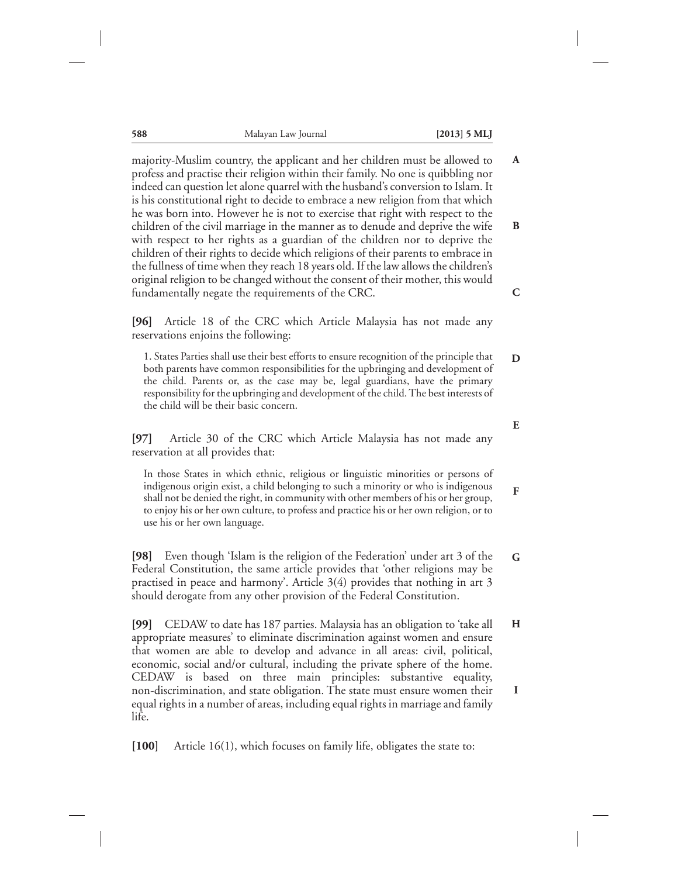**588** Malayan Law Journal **[2013] 5 MLJ**

majority-Muslim country, the applicant and her children must be allowed to profess and practise their religion within their family. No one is quibbling nor indeed can question let alone quarrel with the husband's conversion to Islam. It is his constitutional right to decide to embrace a new religion from that which he was born into. However he is not to exercise that right with respect to the children of the civil marriage in the manner as to denude and deprive the wife with respect to her rights as a guardian of the children nor to deprive the children of their rights to decide which religions of their parents to embrace in the fullness of time when they reach 18 years old. If the law allows the children's original religion to be changed without the consent of their mother, this would fundamentally negate the requirements of the CRC. **A B C**

**[96]** Article 18 of the CRC which Article Malaysia has not made any reservations enjoins the following:

1. States Parties shall use their best efforts to ensure recognition of the principle that both parents have common responsibilities for the upbringing and development of the child. Parents or, as the case may be, legal guardians, have the primary responsibility for the upbringing and development of the child. The best interests of the child will be their basic concern. **D**

**[97]** Article 30 of the CRC which Article Malaysia has not made any reservation at all provides that:

In those States in which ethnic, religious or linguistic minorities or persons of indigenous origin exist, a child belonging to such a minority or who is indigenous shall not be denied the right, in community with other members of his or her group, to enjoy his or her own culture, to profess and practice his or her own religion, or to use his or her own language.

**[98]** Even though 'Islam is the religion of the Federation' under art 3 of the Federal Constitution, the same article provides that 'other religions may be practised in peace and harmony'. Article 3(4) provides that nothing in art 3 should derogate from any other provision of the Federal Constitution. **G**

**[99]** CEDAW to date has 187 parties. Malaysia has an obligation to 'take all appropriate measures' to eliminate discrimination against women and ensure that women are able to develop and advance in all areas: civil, political, economic, social and/or cultural, including the private sphere of the home. CEDAW is based on three main principles: substantive equality, non-discrimination, and state obligation. The state must ensure women their equal rights in a number of areas, including equal rights in marriage and family life. **H I**

**[100]** Article 16(1), which focuses on family life, obligates the state to:

**E**

**F**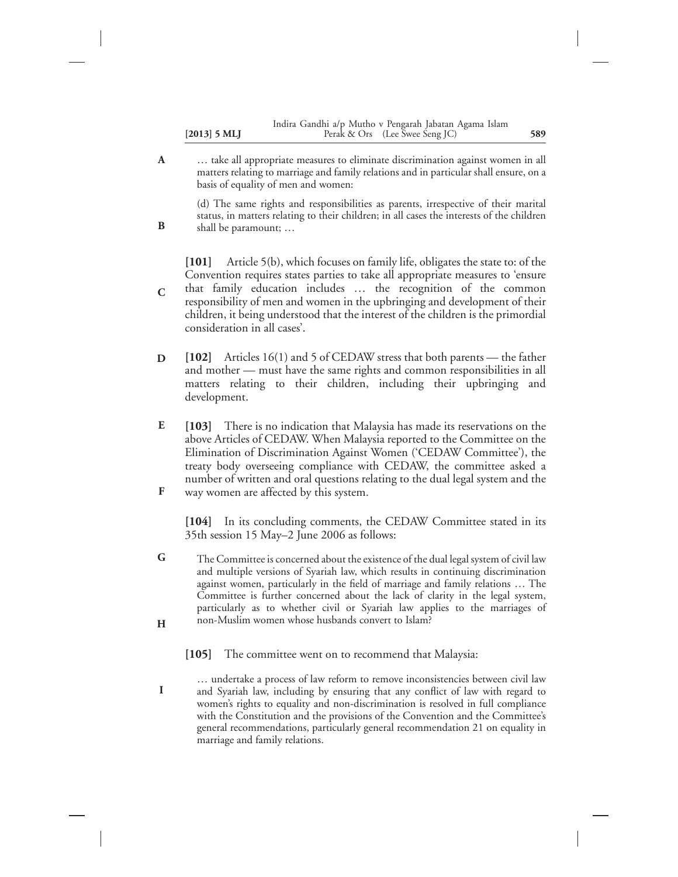|                | Indira Gandhi a/p Mutho v Pengarah Jabatan Agama Islam |     |
|----------------|--------------------------------------------------------|-----|
| $[2013]$ 5 MLJ | Perak & Ors (Lee Swee Seng JC)                         | 589 |

… take all appropriate measures to eliminate discrimination against women in all matters relating to marriage and family relations and in particular shall ensure, on a basis of equality of men and women: **A**

(d) The same rights and responsibilities as parents, irrespective of their marital status, in matters relating to their children; in all cases the interests of the children shall be paramount; …

**[101]** Article 5(b), which focuses on family life, obligates the state to: of the Convention requires states parties to take all appropriate measures to 'ensure that family education includes … the recognition of the common responsibility of men and women in the upbringing and development of their children, it being understood that the interest of the children is the primordial consideration in all cases'. **C**

- **[102]** Articles 16(1) and 5 of CEDAW stress that both parents the father and mother — must have the same rights and common responsibilities in all matters relating to their children, including their upbringing and development. **D**
- **[103]** There is no indication that Malaysia has made its reservations on the above Articles of CEDAW. When Malaysia reported to the Committee on the Elimination of Discrimination Against Women ('CEDAW Committee'), the treaty body overseeing compliance with CEDAW, the committee asked a number of written and oral questions relating to the dual legal system and the **E**
- way women are affected by this system. **F**

**B**

**[104]** In its concluding comments, the CEDAW Committee stated in its 35th session 15 May–2 June 2006 as follows:

- The Committee is concerned about the existence of the dual legal system of civil law and multiple versions of Syariah law, which results in continuing discrimination against women, particularly in the field of marriage and family relations … The Committee is further concerned about the lack of clarity in the legal system, particularly as to whether civil or Syariah law applies to the marriages of non-Muslim women whose husbands convert to Islam? **G H**
	- **[105]** The committee went on to recommend that Malaysia:
- … undertake a process of law reform to remove inconsistencies between civil law and Syariah law, including by ensuring that any conflict of law with regard to women's rights to equality and non-discrimination is resolved in full compliance with the Constitution and the provisions of the Convention and the Committee's general recommendations, particularly general recommendation 21 on equality in marriage and family relations. **I**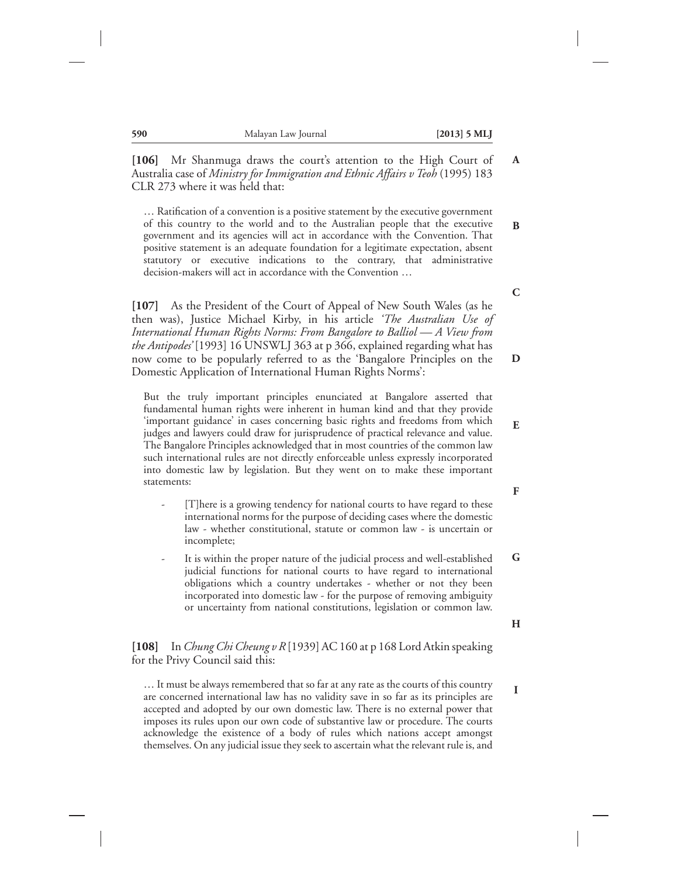**[106]** Mr Shanmuga draws the court's attention to the High Court of Australia case of *Ministry for Immigration and Ethnic Affairs v Teoh* (1995) 183 CLR 273 where it was held that: **A**

… Ratification of a convention is a positive statement by the executive government of this country to the world and to the Australian people that the executive government and its agencies will act in accordance with the Convention. That positive statement is an adequate foundation for a legitimate expectation, absent statutory or executive indications to the contrary, that administrative decision-makers will act in accordance with the Convention …

**[107]** As the President of the Court of Appeal of New South Wales (as he then was), Justice Michael Kirby, in his article *'The Australian Use of International Human Rights Norms: From Bangalore to Balliol — A View from the Antipodes'* [1993] 16 UNSWLJ 363 at p 366, explained regarding what has now come to be popularly referred to as the 'Bangalore Principles on the Domestic Application of International Human Rights Norms': **D**

But the truly important principles enunciated at Bangalore asserted that fundamental human rights were inherent in human kind and that they provide 'important guidance' in cases concerning basic rights and freedoms from which judges and lawyers could draw for jurisprudence of practical relevance and value. The Bangalore Principles acknowledged that in most countries of the common law such international rules are not directly enforceable unless expressly incorporated into domestic law by legislation. But they went on to make these important statements:

- [T]here is a growing tendency for national courts to have regard to these international norms for the purpose of deciding cases where the domestic law - whether constitutional, statute or common law - is uncertain or incomplete;
- It is within the proper nature of the judicial process and well-established judicial functions for national courts to have regard to international obligations which a country undertakes - whether or not they been incorporated into domestic law - for the purpose of removing ambiguity or uncertainty from national constitutions, legislation or common law. **G**

**[108]** In *Chung Chi Cheung v R* [1939] AC 160 at p 168 Lord Atkin speaking for the Privy Council said this:

… It must be always remembered that so far at any rate as the courts of this country are concerned international law has no validity save in so far as its principles are accepted and adopted by our own domestic law. There is no external power that imposes its rules upon our own code of substantive law or procedure. The courts acknowledge the existence of a body of rules which nations accept amongst themselves. On any judicial issue they seek to ascertain what the relevant rule is, and

**C**

**B**

**F**

**E**

**H**

**I**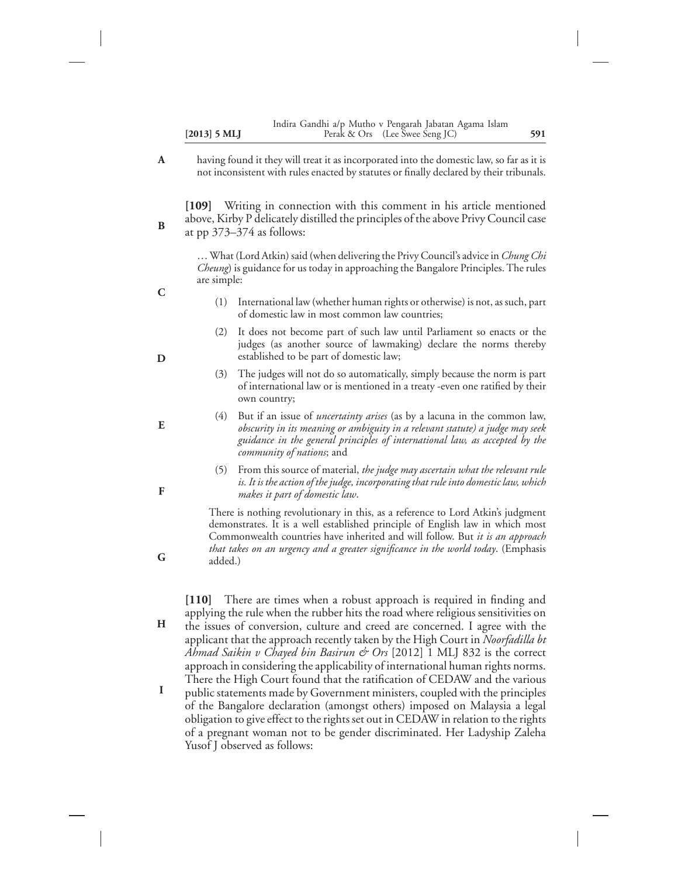|                | Indira Gandhi a/p Mutho v Pengarah Jabatan Agama Islam |     |
|----------------|--------------------------------------------------------|-----|
| $[2013]$ 5 MLJ | Perak & Ors (Lee Swee Seng JC)                         | 591 |

having found it they will treat it as incorporated into the domestic law, so far as it is not inconsistent with rules enacted by statutes or finally declared by their tribunals. **A**

**[109]** Writing in connection with this comment in his article mentioned above, Kirby P delicately distilled the principles of the above Privy Council case at pp 373–374 as follows:

… What (Lord Atkin) said (when delivering the Privy Council's advice in *Chung Chi Cheung*) is guidance for us today in approaching the Bangalore Principles. The rules are simple:

- (1) International law (whether human rights or otherwise) is not, as such, part of domestic law in most common law countries;
- It does not become part of such law until Parliament so enacts or the judges (as another source of lawmaking) declare the norms thereby established to be part of domestic law;
- (3) The judges will not do so automatically, simply because the norm is part of international law or is mentioned in a treaty -even one ratified by their own country;
- (4) But if an issue of *uncertainty arises* (as by a lacuna in the common law, *obscurity in its meaning or ambiguity in a relevant statute) a judge may seek guidance in the general principles of international law, as accepted by the community of nations*; and
	- (5) From this source of material, *the judge may ascertain what the relevant rule is. It is the action of the judge, incorporating that rule into domestic law, which makes it part of domestic law*.

There is nothing revolutionary in this, as a reference to Lord Atkin's judgment demonstrates. It is a well established principle of English law in which most Commonwealth countries have inherited and will follow. But *it is an approach that takes on an urgency and a greater significance in the world today*. (Emphasis added.)

**[110]** There are times when a robust approach is required in finding and applying the rule when the rubber hits the road where religious sensitivities on

the issues of conversion, culture and creed are concerned. I agree with the applicant that the approach recently taken by the High Court in *Noorfadilla bt Ahmad Saikin v Chayed bin Basirun & Ors* [2012] 1 MLJ 832 is the correct approach in considering the applicability of international human rights norms. There the High Court found that the ratification of CEDAW and the various **H**

public statements made by Government ministers, coupled with the principles of the Bangalore declaration (amongst others) imposed on Malaysia a legal obligation to give effect to the rights set out in CEDAW in relation to the rights of a pregnant woman not to be gender discriminated. Her Ladyship Zaleha Yusof J observed as follows: **I**

**D**

**E**

**F**

**G**

**B**

**C**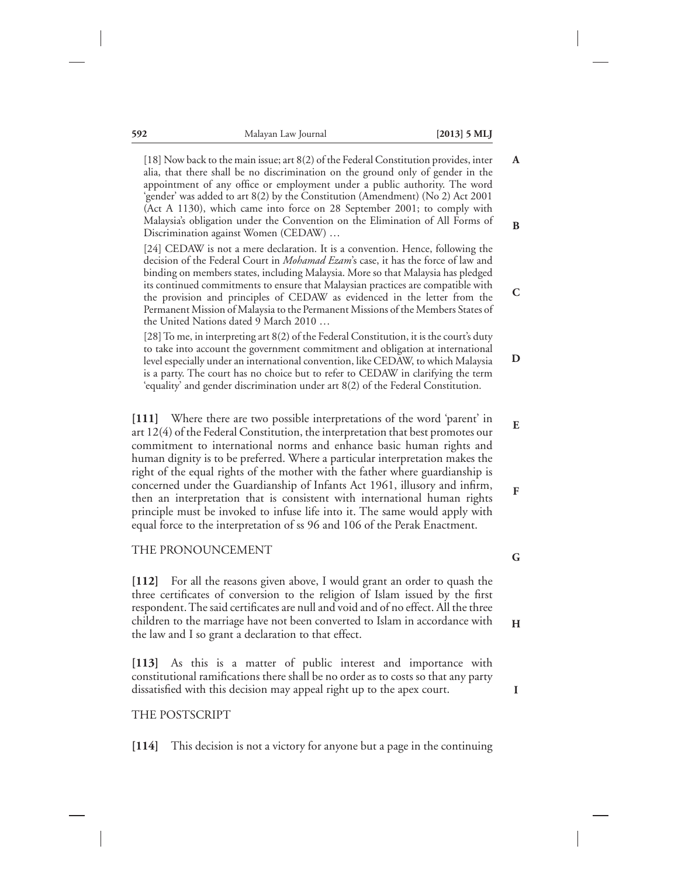**A**

**B**

**C**

[18] Now back to the main issue; art 8(2) of the Federal Constitution provides, inter alia, that there shall be no discrimination on the ground only of gender in the appointment of any office or employment under a public authority. The word 'gender' was added to art 8(2) by the Constitution (Amendment) (No 2) Act 2001 (Act A 1130), which came into force on 28 September 2001; to comply with Malaysia's obligation under the Convention on the Elimination of All Forms of Discrimination against Women (CEDAW) …

[24] CEDAW is not a mere declaration. It is a convention. Hence, following the decision of the Federal Court in *Mohamad Ezam*'s case, it has the force of law and binding on members states, including Malaysia. More so that Malaysia has pledged its continued commitments to ensure that Malaysian practices are compatible with the provision and principles of CEDAW as evidenced in the letter from the Permanent Mission of Malaysia to the Permanent Missions of the Members States of the United Nations dated 9 March 2010 …

[28] To me, in interpreting art 8(2) of the Federal Constitution, it is the court's duty to take into account the government commitment and obligation at international level especially under an international convention, like CEDAW, to which Malaysia is a party. The court has no choice but to refer to CEDAW in clarifying the term 'equality' and gender discrimination under art 8(2) of the Federal Constitution. **D**

**[111]** Where there are two possible interpretations of the word 'parent' in art 12(4) of the Federal Constitution, the interpretation that best promotes our commitment to international norms and enhance basic human rights and human dignity is to be preferred. Where a particular interpretation makes the right of the equal rights of the mother with the father where guardianship is concerned under the Guardianship of Infants Act 1961, illusory and infirm, then an interpretation that is consistent with international human rights principle must be invoked to infuse life into it. The same would apply with equal force to the interpretation of ss 96 and 106 of the Perak Enactment.

#### THE PRONOUNCEMENT

**[112]** For all the reasons given above, I would grant an order to quash the three certificates of conversion to the religion of Islam issued by the first respondent. The said certificates are null and void and of no effect. All the three children to the marriage have not been converted to Islam in accordance with the law and I so grant a declaration to that effect.

**[113]** As this is a matter of public interest and importance with constitutional ramifications there shall be no order as to costs so that any party dissatisfied with this decision may appeal right up to the apex court.

## THE POSTSCRIPT

**[114]** This decision is not a victory for anyone but a page in the continuing

**G**

**E**

**F**

- 
- **H**
- **I**